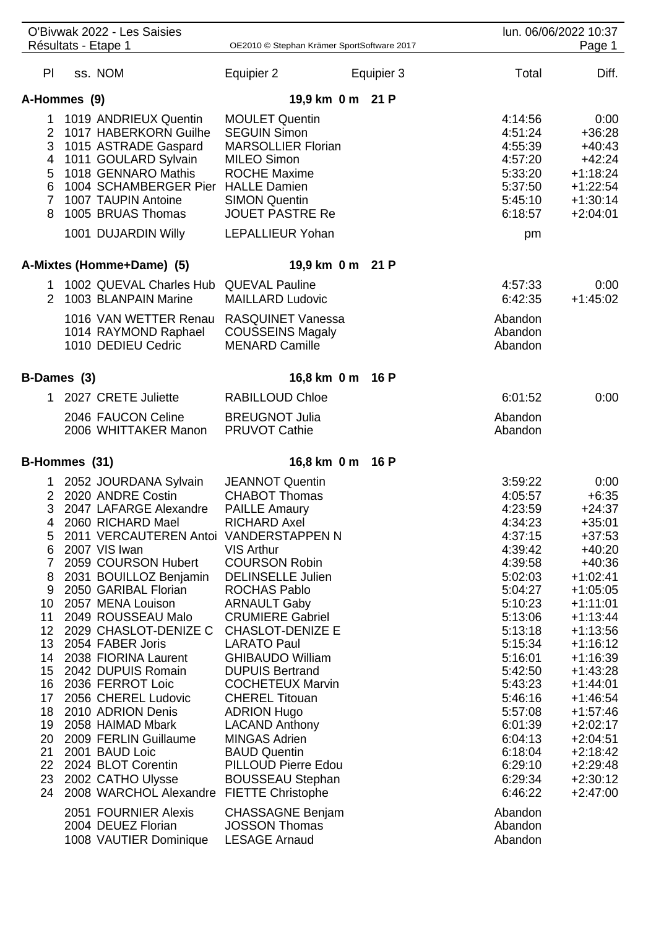|                                                                                                           | O'Bivwak 2022 - Les Saisies<br>Résultats - Etape 1                                                                                                                                                                                                                                                                                                                                                                                                                                                                                                                                                           | OE2010 © Stephan Krämer SportSoftware 2017                                                                                                                                                                                                                                                                                                                                                                                                                                                                                                         |            |                                                                                                                                                                                                                                                                      | lun. 06/06/2022 10:37<br>Page 1                                                                                                                                                                                                                                                                                     |
|-----------------------------------------------------------------------------------------------------------|--------------------------------------------------------------------------------------------------------------------------------------------------------------------------------------------------------------------------------------------------------------------------------------------------------------------------------------------------------------------------------------------------------------------------------------------------------------------------------------------------------------------------------------------------------------------------------------------------------------|----------------------------------------------------------------------------------------------------------------------------------------------------------------------------------------------------------------------------------------------------------------------------------------------------------------------------------------------------------------------------------------------------------------------------------------------------------------------------------------------------------------------------------------------------|------------|----------------------------------------------------------------------------------------------------------------------------------------------------------------------------------------------------------------------------------------------------------------------|---------------------------------------------------------------------------------------------------------------------------------------------------------------------------------------------------------------------------------------------------------------------------------------------------------------------|
| PI                                                                                                        | ss. NOM                                                                                                                                                                                                                                                                                                                                                                                                                                                                                                                                                                                                      | Equipier 2                                                                                                                                                                                                                                                                                                                                                                                                                                                                                                                                         | Equipier 3 | Total                                                                                                                                                                                                                                                                | Diff.                                                                                                                                                                                                                                                                                                               |
|                                                                                                           |                                                                                                                                                                                                                                                                                                                                                                                                                                                                                                                                                                                                              |                                                                                                                                                                                                                                                                                                                                                                                                                                                                                                                                                    |            |                                                                                                                                                                                                                                                                      |                                                                                                                                                                                                                                                                                                                     |
| A-Hommes (9)                                                                                              |                                                                                                                                                                                                                                                                                                                                                                                                                                                                                                                                                                                                              | 19,9 km 0 m 21 P                                                                                                                                                                                                                                                                                                                                                                                                                                                                                                                                   |            |                                                                                                                                                                                                                                                                      |                                                                                                                                                                                                                                                                                                                     |
| $\mathbf 1$<br>4<br>5<br>6                                                                                | 1019 ANDRIEUX Quentin<br>2 1017 HABERKORN Guilhe<br>3 1015 ASTRADE Gaspard<br>1011 GOULARD Sylvain<br>1018 GENNARO Mathis<br>1004 SCHAMBERGER Pier HALLE Damien<br>7 1007 TAUPIN Antoine<br>8 1005 BRUAS Thomas<br>1001 DUJARDIN Willy                                                                                                                                                                                                                                                                                                                                                                       | <b>MOULET Quentin</b><br><b>SEGUIN Simon</b><br><b>MARSOLLIER Florian</b><br><b>MILEO Simon</b><br><b>ROCHE Maxime</b><br><b>SIMON Quentin</b><br><b>JOUET PASTRE Re</b><br><b>LEPALLIEUR Yohan</b>                                                                                                                                                                                                                                                                                                                                                |            | 4:14:56<br>4:51:24<br>4:55:39<br>4:57:20<br>5:33:20<br>5:37:50<br>5:45:10<br>6:18:57<br>pm                                                                                                                                                                           | 0:00<br>$+36:28$<br>$+40:43$<br>$+42:24$<br>$+1:18:24$<br>$+1:22:54$<br>$+1:30:14$<br>$+2:04:01$                                                                                                                                                                                                                    |
|                                                                                                           |                                                                                                                                                                                                                                                                                                                                                                                                                                                                                                                                                                                                              |                                                                                                                                                                                                                                                                                                                                                                                                                                                                                                                                                    |            |                                                                                                                                                                                                                                                                      |                                                                                                                                                                                                                                                                                                                     |
|                                                                                                           | A-Mixtes (Homme+Dame) (5)                                                                                                                                                                                                                                                                                                                                                                                                                                                                                                                                                                                    | 19,9 km 0 m 21 P                                                                                                                                                                                                                                                                                                                                                                                                                                                                                                                                   |            |                                                                                                                                                                                                                                                                      |                                                                                                                                                                                                                                                                                                                     |
|                                                                                                           | 1 1002 QUEVAL Charles Hub QUEVAL Pauline<br>2 1003 BLANPAIN Marine                                                                                                                                                                                                                                                                                                                                                                                                                                                                                                                                           | <b>MAILLARD Ludovic</b>                                                                                                                                                                                                                                                                                                                                                                                                                                                                                                                            |            | 4:57:33<br>6:42:35                                                                                                                                                                                                                                                   | 0:00<br>$+1:45:02$                                                                                                                                                                                                                                                                                                  |
|                                                                                                           | 1016 VAN WETTER Renau RASQUINET Vanessa<br>1014 RAYMOND Raphael<br>1010 DEDIEU Cedric                                                                                                                                                                                                                                                                                                                                                                                                                                                                                                                        | <b>COUSSEINS Magaly</b><br><b>MENARD Camille</b>                                                                                                                                                                                                                                                                                                                                                                                                                                                                                                   |            | Abandon<br>Abandon<br>Abandon                                                                                                                                                                                                                                        |                                                                                                                                                                                                                                                                                                                     |
| B-Dames (3)                                                                                               |                                                                                                                                                                                                                                                                                                                                                                                                                                                                                                                                                                                                              | 16,8 km 0 m 16 P                                                                                                                                                                                                                                                                                                                                                                                                                                                                                                                                   |            |                                                                                                                                                                                                                                                                      |                                                                                                                                                                                                                                                                                                                     |
|                                                                                                           | 1 2027 CRETE Juliette                                                                                                                                                                                                                                                                                                                                                                                                                                                                                                                                                                                        | <b>RABILLOUD Chloe</b>                                                                                                                                                                                                                                                                                                                                                                                                                                                                                                                             |            | 6:01:52                                                                                                                                                                                                                                                              | 0:00                                                                                                                                                                                                                                                                                                                |
|                                                                                                           | 2046 FAUCON Celine<br>2006 WHITTAKER Manon                                                                                                                                                                                                                                                                                                                                                                                                                                                                                                                                                                   | <b>BREUGNOT Julia</b><br><b>PRUVOT Cathie</b>                                                                                                                                                                                                                                                                                                                                                                                                                                                                                                      |            | Abandon<br>Abandon                                                                                                                                                                                                                                                   |                                                                                                                                                                                                                                                                                                                     |
| B-Hommes (31)                                                                                             |                                                                                                                                                                                                                                                                                                                                                                                                                                                                                                                                                                                                              | 16,8 km 0 m                                                                                                                                                                                                                                                                                                                                                                                                                                                                                                                                        | 16 P       |                                                                                                                                                                                                                                                                      |                                                                                                                                                                                                                                                                                                                     |
| 4<br>5<br>6<br>7<br>8<br>9<br>10<br>11<br>12 <sub>2</sub><br>17<br>18<br>19<br>20<br>21<br>22<br>23<br>24 | 1 2052 JOURDANA Sylvain<br>2 2020 ANDRE Costin<br>3 2047 LAFARGE Alexandre<br>2060 RICHARD Mael<br>2011 VERCAUTEREN Antoi VANDERSTAPPEN N<br>2007 VIS Iwan<br>2059 COURSON Hubert<br>2031 BOUILLOZ Benjamin<br>2050 GARIBAL Florian<br>2057 MENA Louison<br>2049 ROUSSEAU Malo<br>2029 CHASLOT-DENIZE C<br>13 2054 FABER Joris<br>14 2038 FIORINA Laurent<br>15 2042 DUPUIS Romain<br>16 2036 FERROT Loic<br>2056 CHEREL Ludovic<br>2010 ADRION Denis<br>2058 HAIMAD Mbark<br>2009 FERLIN Guillaume<br>2001 BAUD Loic<br>2024 BLOT Corentin<br>2002 CATHO Ulysse<br>2008 WARCHOL Alexandre FIETTE Christophe | <b>JEANNOT Quentin</b><br><b>CHABOT Thomas</b><br><b>PAILLE Amaury</b><br>RICHARD Axel<br><b>VIS Arthur</b><br><b>COURSON Robin</b><br><b>DELINSELLE Julien</b><br><b>ROCHAS Pablo</b><br><b>ARNAULT Gaby</b><br><b>CRUMIERE Gabriel</b><br><b>CHASLOT-DENIZE E</b><br><b>LARATO Paul</b><br><b>GHIBAUDO William</b><br><b>DUPUIS Bertrand</b><br><b>COCHETEUX Marvin</b><br><b>CHEREL Titouan</b><br><b>ADRION Hugo</b><br><b>LACAND Anthony</b><br><b>MINGAS Adrien</b><br><b>BAUD Quentin</b><br>PILLOUD Pierre Edou<br><b>BOUSSEAU Stephan</b> |            | 3:59:22<br>4:05:57<br>4:23:59<br>4:34:23<br>4:37:15<br>4:39:42<br>4:39:58<br>5:02:03<br>5:04:27<br>5:10:23<br>5:13:06<br>5:13:18<br>5:15:34<br>5:16:01<br>5:42:50<br>5:43:23<br>5:46:16<br>5:57:08<br>6:01:39<br>6:04:13<br>6:18:04<br>6:29:10<br>6:29:34<br>6:46:22 | 0:00<br>$+6:35$<br>$+24:37$<br>+35:01<br>$+37:53$<br>$+40:20$<br>$+40:36$<br>$+1:02:41$<br>$+1:05:05$<br>$+1:11:01$<br>$+1:13:44$<br>$+1:13:56$<br>+1:16:12<br>$+1:16:39$<br>$+1:43:28$<br>$+1:44:01$<br>$+1:46:54$<br>$+1:57:46$<br>$+2:02:17$<br>$+2:04:51$<br>$+2:18:42$<br>+2:29:48<br>$+2:30:12$<br>$+2:47:00$ |
|                                                                                                           | 2051 FOURNIER Alexis<br>2004 DEUEZ Florian<br>1008 VAUTIER Dominique                                                                                                                                                                                                                                                                                                                                                                                                                                                                                                                                         | <b>CHASSAGNE Benjam</b><br><b>JOSSON Thomas</b><br><b>LESAGE Arnaud</b>                                                                                                                                                                                                                                                                                                                                                                                                                                                                            |            | Abandon<br>Abandon<br>Abandon                                                                                                                                                                                                                                        |                                                                                                                                                                                                                                                                                                                     |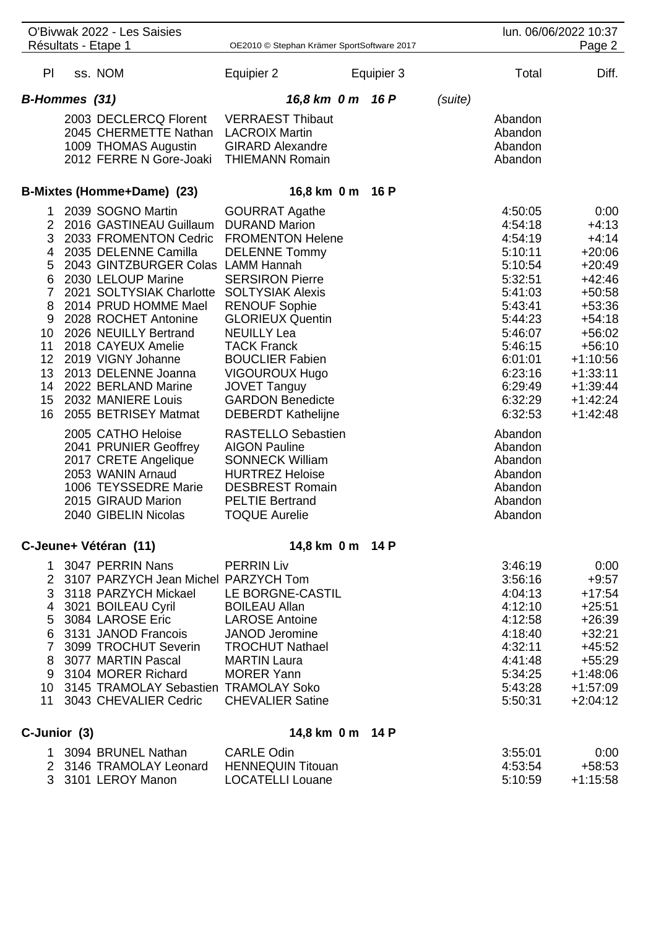| Résultats - Etape 1<br>OE2010 © Stephan Krämer SportSoftware 2017<br>ss. NOM<br>PI.<br>Equipier 2<br>Total<br>Equipier 3<br>B-Hommes (31)<br>16,8 km 0 m 16 P<br>(suite)<br>2003 DECLERCQ Florent<br><b>VERRAEST Thibaut</b><br>Abandon<br>2045 CHERMETTE Nathan<br><b>LACROIX Martin</b><br>Abandon<br><b>GIRARD Alexandre</b><br>1009 THOMAS Augustin<br>Abandon<br>2012 FERRE N Gore-Joaki<br><b>THIEMANN Romain</b><br>Abandon<br>B-Mixtes (Homme+Dame) (23)<br>16,8 km 0 m 16 P<br>2039 SOGNO Martin<br><b>GOURRAT Agathe</b><br>4:50:05<br>1.<br>$\overline{2}$<br>2016 GASTINEAU Guillaum<br><b>DURAND Marion</b><br>4:54:18<br>3<br>2033 FROMENTON Cedric<br><b>FROMENTON Helene</b><br>4:54:19<br>2035 DELENNE Camilla<br><b>DELENNE Tommy</b><br>5:10:11<br>4<br>2043 GINTZBURGER Colas LAMM Hannah<br>5<br>5:10:54<br>6<br>2030 LELOUP Marine<br><b>SERSIRON Pierre</b><br>5:32:51<br>7<br>2021 SOLTYSIAK Charlotte<br><b>SOLTYSIAK Alexis</b><br>5:41:03<br>8<br>2014 PRUD HOMME Mael<br><b>RENOUF Sophie</b><br>5:43:41<br>9<br>2028 ROCHET Antonine<br><b>GLORIEUX Quentin</b><br>5:44:23<br>2026 NEUILLY Bertrand<br>10<br><b>NEUILLY Lea</b><br>5:46:07<br>11<br>2018 CAYEUX Amelie<br><b>TACK Franck</b><br>5:46:15<br>12 <sub>2</sub><br>2019 VIGNY Johanne<br><b>BOUCLIER Fabien</b><br>6:01:01<br>13<br>2013 DELENNE Joanna<br><b>VIGOUROUX Hugo</b><br>6:23:16<br>2022 BERLAND Marine<br>14<br><b>JOVET Tanguy</b><br>6:29:49<br>2032 MANIERE Louis<br>15 <sub>1</sub><br><b>GARDON Benedicte</b><br>6:32:29<br>16<br>2055 BETRISEY Matmat<br><b>DEBERDT Kathelijne</b><br>6:32:53<br>2005 CATHO Heloise<br><b>RASTELLO Sebastien</b><br>Abandon<br>2041 PRUNIER Geoffrey<br><b>AIGON Pauline</b><br>Abandon<br>2017 CRETE Angelique<br><b>SONNECK William</b><br>Abandon<br>2053 WANIN Arnaud<br><b>HURTREZ Heloise</b><br>Abandon<br>1006 TEYSSEDRE Marie<br><b>DESBREST Romain</b><br>Abandon<br>2015 GIRAUD Marion<br><b>PELTIE Bertrand</b><br>Abandon<br>2040 GIBELIN Nicolas<br><b>TOQUE Aurelie</b><br>Abandon<br>14,8 km 0 m 14 P<br>C-Jeune+ Vétéran (11)<br>3047 PERRIN Nans<br><b>PERRIN Liv</b><br>3:46:19<br>1.<br>$\overline{2}$<br>3107 PARZYCH Jean Michel PARZYCH Tom<br>3:56:16<br>3118 PARZYCH Mickael<br>LE BORGNE-CASTIL<br>3<br>4:04:13<br>3021 BOILEAU Cyril<br><b>BOILEAU Allan</b><br>4:12:10<br>4<br>3084 LAROSE Eric<br><b>LAROSE Antoine</b><br>4:12:58<br>5<br>3131 JANOD Francois<br><b>JANOD</b> Jeromine<br>4:18:40<br>6<br>$\overline{7}$<br>3099 TROCHUT Severin<br>4:32:11<br><b>TROCHUT Nathael</b><br>3077 MARTIN Pascal<br>4:41:48<br><b>MARTIN Laura</b><br>8<br>3104 MORER Richard<br><b>MORER Yann</b><br>5:34:25<br>9<br>10 3145 TRAMOLAY Sebastien TRAMOLAY Soko<br>5:43:28 |  | O'Bivwak 2022 - Les Saisies |  |  | lun. 06/06/2022 10:37    |
|----------------------------------------------------------------------------------------------------------------------------------------------------------------------------------------------------------------------------------------------------------------------------------------------------------------------------------------------------------------------------------------------------------------------------------------------------------------------------------------------------------------------------------------------------------------------------------------------------------------------------------------------------------------------------------------------------------------------------------------------------------------------------------------------------------------------------------------------------------------------------------------------------------------------------------------------------------------------------------------------------------------------------------------------------------------------------------------------------------------------------------------------------------------------------------------------------------------------------------------------------------------------------------------------------------------------------------------------------------------------------------------------------------------------------------------------------------------------------------------------------------------------------------------------------------------------------------------------------------------------------------------------------------------------------------------------------------------------------------------------------------------------------------------------------------------------------------------------------------------------------------------------------------------------------------------------------------------------------------------------------------------------------------------------------------------------------------------------------------------------------------------------------------------------------------------------------------------------------------------------------------------------------------------------------------------------------------------------------------------------------------------------------------------------------------------------------------------------------------------------------------------------------------------------------------------------------------------------------------------------------------------------------------------------------------------------------------------------------------------------|--|-----------------------------|--|--|--------------------------|
|                                                                                                                                                                                                                                                                                                                                                                                                                                                                                                                                                                                                                                                                                                                                                                                                                                                                                                                                                                                                                                                                                                                                                                                                                                                                                                                                                                                                                                                                                                                                                                                                                                                                                                                                                                                                                                                                                                                                                                                                                                                                                                                                                                                                                                                                                                                                                                                                                                                                                                                                                                                                                                                                                                                                              |  |                             |  |  | Page 2                   |
|                                                                                                                                                                                                                                                                                                                                                                                                                                                                                                                                                                                                                                                                                                                                                                                                                                                                                                                                                                                                                                                                                                                                                                                                                                                                                                                                                                                                                                                                                                                                                                                                                                                                                                                                                                                                                                                                                                                                                                                                                                                                                                                                                                                                                                                                                                                                                                                                                                                                                                                                                                                                                                                                                                                                              |  |                             |  |  | Diff.                    |
|                                                                                                                                                                                                                                                                                                                                                                                                                                                                                                                                                                                                                                                                                                                                                                                                                                                                                                                                                                                                                                                                                                                                                                                                                                                                                                                                                                                                                                                                                                                                                                                                                                                                                                                                                                                                                                                                                                                                                                                                                                                                                                                                                                                                                                                                                                                                                                                                                                                                                                                                                                                                                                                                                                                                              |  |                             |  |  |                          |
|                                                                                                                                                                                                                                                                                                                                                                                                                                                                                                                                                                                                                                                                                                                                                                                                                                                                                                                                                                                                                                                                                                                                                                                                                                                                                                                                                                                                                                                                                                                                                                                                                                                                                                                                                                                                                                                                                                                                                                                                                                                                                                                                                                                                                                                                                                                                                                                                                                                                                                                                                                                                                                                                                                                                              |  |                             |  |  |                          |
|                                                                                                                                                                                                                                                                                                                                                                                                                                                                                                                                                                                                                                                                                                                                                                                                                                                                                                                                                                                                                                                                                                                                                                                                                                                                                                                                                                                                                                                                                                                                                                                                                                                                                                                                                                                                                                                                                                                                                                                                                                                                                                                                                                                                                                                                                                                                                                                                                                                                                                                                                                                                                                                                                                                                              |  |                             |  |  |                          |
|                                                                                                                                                                                                                                                                                                                                                                                                                                                                                                                                                                                                                                                                                                                                                                                                                                                                                                                                                                                                                                                                                                                                                                                                                                                                                                                                                                                                                                                                                                                                                                                                                                                                                                                                                                                                                                                                                                                                                                                                                                                                                                                                                                                                                                                                                                                                                                                                                                                                                                                                                                                                                                                                                                                                              |  |                             |  |  |                          |
|                                                                                                                                                                                                                                                                                                                                                                                                                                                                                                                                                                                                                                                                                                                                                                                                                                                                                                                                                                                                                                                                                                                                                                                                                                                                                                                                                                                                                                                                                                                                                                                                                                                                                                                                                                                                                                                                                                                                                                                                                                                                                                                                                                                                                                                                                                                                                                                                                                                                                                                                                                                                                                                                                                                                              |  |                             |  |  |                          |
|                                                                                                                                                                                                                                                                                                                                                                                                                                                                                                                                                                                                                                                                                                                                                                                                                                                                                                                                                                                                                                                                                                                                                                                                                                                                                                                                                                                                                                                                                                                                                                                                                                                                                                                                                                                                                                                                                                                                                                                                                                                                                                                                                                                                                                                                                                                                                                                                                                                                                                                                                                                                                                                                                                                                              |  |                             |  |  |                          |
|                                                                                                                                                                                                                                                                                                                                                                                                                                                                                                                                                                                                                                                                                                                                                                                                                                                                                                                                                                                                                                                                                                                                                                                                                                                                                                                                                                                                                                                                                                                                                                                                                                                                                                                                                                                                                                                                                                                                                                                                                                                                                                                                                                                                                                                                                                                                                                                                                                                                                                                                                                                                                                                                                                                                              |  |                             |  |  | 0:00                     |
|                                                                                                                                                                                                                                                                                                                                                                                                                                                                                                                                                                                                                                                                                                                                                                                                                                                                                                                                                                                                                                                                                                                                                                                                                                                                                                                                                                                                                                                                                                                                                                                                                                                                                                                                                                                                                                                                                                                                                                                                                                                                                                                                                                                                                                                                                                                                                                                                                                                                                                                                                                                                                                                                                                                                              |  |                             |  |  | $+4:13$                  |
|                                                                                                                                                                                                                                                                                                                                                                                                                                                                                                                                                                                                                                                                                                                                                                                                                                                                                                                                                                                                                                                                                                                                                                                                                                                                                                                                                                                                                                                                                                                                                                                                                                                                                                                                                                                                                                                                                                                                                                                                                                                                                                                                                                                                                                                                                                                                                                                                                                                                                                                                                                                                                                                                                                                                              |  |                             |  |  | $+4:14$                  |
|                                                                                                                                                                                                                                                                                                                                                                                                                                                                                                                                                                                                                                                                                                                                                                                                                                                                                                                                                                                                                                                                                                                                                                                                                                                                                                                                                                                                                                                                                                                                                                                                                                                                                                                                                                                                                                                                                                                                                                                                                                                                                                                                                                                                                                                                                                                                                                                                                                                                                                                                                                                                                                                                                                                                              |  |                             |  |  | $+20:06$<br>$+20:49$     |
|                                                                                                                                                                                                                                                                                                                                                                                                                                                                                                                                                                                                                                                                                                                                                                                                                                                                                                                                                                                                                                                                                                                                                                                                                                                                                                                                                                                                                                                                                                                                                                                                                                                                                                                                                                                                                                                                                                                                                                                                                                                                                                                                                                                                                                                                                                                                                                                                                                                                                                                                                                                                                                                                                                                                              |  |                             |  |  | $+42:46$                 |
|                                                                                                                                                                                                                                                                                                                                                                                                                                                                                                                                                                                                                                                                                                                                                                                                                                                                                                                                                                                                                                                                                                                                                                                                                                                                                                                                                                                                                                                                                                                                                                                                                                                                                                                                                                                                                                                                                                                                                                                                                                                                                                                                                                                                                                                                                                                                                                                                                                                                                                                                                                                                                                                                                                                                              |  |                             |  |  | $+50:58$                 |
|                                                                                                                                                                                                                                                                                                                                                                                                                                                                                                                                                                                                                                                                                                                                                                                                                                                                                                                                                                                                                                                                                                                                                                                                                                                                                                                                                                                                                                                                                                                                                                                                                                                                                                                                                                                                                                                                                                                                                                                                                                                                                                                                                                                                                                                                                                                                                                                                                                                                                                                                                                                                                                                                                                                                              |  |                             |  |  | $+53:36$                 |
|                                                                                                                                                                                                                                                                                                                                                                                                                                                                                                                                                                                                                                                                                                                                                                                                                                                                                                                                                                                                                                                                                                                                                                                                                                                                                                                                                                                                                                                                                                                                                                                                                                                                                                                                                                                                                                                                                                                                                                                                                                                                                                                                                                                                                                                                                                                                                                                                                                                                                                                                                                                                                                                                                                                                              |  |                             |  |  | $+54:18$                 |
|                                                                                                                                                                                                                                                                                                                                                                                                                                                                                                                                                                                                                                                                                                                                                                                                                                                                                                                                                                                                                                                                                                                                                                                                                                                                                                                                                                                                                                                                                                                                                                                                                                                                                                                                                                                                                                                                                                                                                                                                                                                                                                                                                                                                                                                                                                                                                                                                                                                                                                                                                                                                                                                                                                                                              |  |                             |  |  | $+56:02$                 |
|                                                                                                                                                                                                                                                                                                                                                                                                                                                                                                                                                                                                                                                                                                                                                                                                                                                                                                                                                                                                                                                                                                                                                                                                                                                                                                                                                                                                                                                                                                                                                                                                                                                                                                                                                                                                                                                                                                                                                                                                                                                                                                                                                                                                                                                                                                                                                                                                                                                                                                                                                                                                                                                                                                                                              |  |                             |  |  | $+56:10$                 |
|                                                                                                                                                                                                                                                                                                                                                                                                                                                                                                                                                                                                                                                                                                                                                                                                                                                                                                                                                                                                                                                                                                                                                                                                                                                                                                                                                                                                                                                                                                                                                                                                                                                                                                                                                                                                                                                                                                                                                                                                                                                                                                                                                                                                                                                                                                                                                                                                                                                                                                                                                                                                                                                                                                                                              |  |                             |  |  | $+1:10:56$               |
|                                                                                                                                                                                                                                                                                                                                                                                                                                                                                                                                                                                                                                                                                                                                                                                                                                                                                                                                                                                                                                                                                                                                                                                                                                                                                                                                                                                                                                                                                                                                                                                                                                                                                                                                                                                                                                                                                                                                                                                                                                                                                                                                                                                                                                                                                                                                                                                                                                                                                                                                                                                                                                                                                                                                              |  |                             |  |  | $+1:33:11$<br>$+1:39:44$ |
|                                                                                                                                                                                                                                                                                                                                                                                                                                                                                                                                                                                                                                                                                                                                                                                                                                                                                                                                                                                                                                                                                                                                                                                                                                                                                                                                                                                                                                                                                                                                                                                                                                                                                                                                                                                                                                                                                                                                                                                                                                                                                                                                                                                                                                                                                                                                                                                                                                                                                                                                                                                                                                                                                                                                              |  |                             |  |  | $+1:42:24$               |
|                                                                                                                                                                                                                                                                                                                                                                                                                                                                                                                                                                                                                                                                                                                                                                                                                                                                                                                                                                                                                                                                                                                                                                                                                                                                                                                                                                                                                                                                                                                                                                                                                                                                                                                                                                                                                                                                                                                                                                                                                                                                                                                                                                                                                                                                                                                                                                                                                                                                                                                                                                                                                                                                                                                                              |  |                             |  |  | $+1:42:48$               |
|                                                                                                                                                                                                                                                                                                                                                                                                                                                                                                                                                                                                                                                                                                                                                                                                                                                                                                                                                                                                                                                                                                                                                                                                                                                                                                                                                                                                                                                                                                                                                                                                                                                                                                                                                                                                                                                                                                                                                                                                                                                                                                                                                                                                                                                                                                                                                                                                                                                                                                                                                                                                                                                                                                                                              |  |                             |  |  |                          |
|                                                                                                                                                                                                                                                                                                                                                                                                                                                                                                                                                                                                                                                                                                                                                                                                                                                                                                                                                                                                                                                                                                                                                                                                                                                                                                                                                                                                                                                                                                                                                                                                                                                                                                                                                                                                                                                                                                                                                                                                                                                                                                                                                                                                                                                                                                                                                                                                                                                                                                                                                                                                                                                                                                                                              |  |                             |  |  |                          |
|                                                                                                                                                                                                                                                                                                                                                                                                                                                                                                                                                                                                                                                                                                                                                                                                                                                                                                                                                                                                                                                                                                                                                                                                                                                                                                                                                                                                                                                                                                                                                                                                                                                                                                                                                                                                                                                                                                                                                                                                                                                                                                                                                                                                                                                                                                                                                                                                                                                                                                                                                                                                                                                                                                                                              |  |                             |  |  |                          |
|                                                                                                                                                                                                                                                                                                                                                                                                                                                                                                                                                                                                                                                                                                                                                                                                                                                                                                                                                                                                                                                                                                                                                                                                                                                                                                                                                                                                                                                                                                                                                                                                                                                                                                                                                                                                                                                                                                                                                                                                                                                                                                                                                                                                                                                                                                                                                                                                                                                                                                                                                                                                                                                                                                                                              |  |                             |  |  |                          |
|                                                                                                                                                                                                                                                                                                                                                                                                                                                                                                                                                                                                                                                                                                                                                                                                                                                                                                                                                                                                                                                                                                                                                                                                                                                                                                                                                                                                                                                                                                                                                                                                                                                                                                                                                                                                                                                                                                                                                                                                                                                                                                                                                                                                                                                                                                                                                                                                                                                                                                                                                                                                                                                                                                                                              |  |                             |  |  |                          |
|                                                                                                                                                                                                                                                                                                                                                                                                                                                                                                                                                                                                                                                                                                                                                                                                                                                                                                                                                                                                                                                                                                                                                                                                                                                                                                                                                                                                                                                                                                                                                                                                                                                                                                                                                                                                                                                                                                                                                                                                                                                                                                                                                                                                                                                                                                                                                                                                                                                                                                                                                                                                                                                                                                                                              |  |                             |  |  |                          |
|                                                                                                                                                                                                                                                                                                                                                                                                                                                                                                                                                                                                                                                                                                                                                                                                                                                                                                                                                                                                                                                                                                                                                                                                                                                                                                                                                                                                                                                                                                                                                                                                                                                                                                                                                                                                                                                                                                                                                                                                                                                                                                                                                                                                                                                                                                                                                                                                                                                                                                                                                                                                                                                                                                                                              |  |                             |  |  |                          |
|                                                                                                                                                                                                                                                                                                                                                                                                                                                                                                                                                                                                                                                                                                                                                                                                                                                                                                                                                                                                                                                                                                                                                                                                                                                                                                                                                                                                                                                                                                                                                                                                                                                                                                                                                                                                                                                                                                                                                                                                                                                                                                                                                                                                                                                                                                                                                                                                                                                                                                                                                                                                                                                                                                                                              |  |                             |  |  | 0:00                     |
|                                                                                                                                                                                                                                                                                                                                                                                                                                                                                                                                                                                                                                                                                                                                                                                                                                                                                                                                                                                                                                                                                                                                                                                                                                                                                                                                                                                                                                                                                                                                                                                                                                                                                                                                                                                                                                                                                                                                                                                                                                                                                                                                                                                                                                                                                                                                                                                                                                                                                                                                                                                                                                                                                                                                              |  |                             |  |  | $+9:57$                  |
|                                                                                                                                                                                                                                                                                                                                                                                                                                                                                                                                                                                                                                                                                                                                                                                                                                                                                                                                                                                                                                                                                                                                                                                                                                                                                                                                                                                                                                                                                                                                                                                                                                                                                                                                                                                                                                                                                                                                                                                                                                                                                                                                                                                                                                                                                                                                                                                                                                                                                                                                                                                                                                                                                                                                              |  |                             |  |  | $+17:54$                 |
|                                                                                                                                                                                                                                                                                                                                                                                                                                                                                                                                                                                                                                                                                                                                                                                                                                                                                                                                                                                                                                                                                                                                                                                                                                                                                                                                                                                                                                                                                                                                                                                                                                                                                                                                                                                                                                                                                                                                                                                                                                                                                                                                                                                                                                                                                                                                                                                                                                                                                                                                                                                                                                                                                                                                              |  |                             |  |  | $+25:51$                 |
|                                                                                                                                                                                                                                                                                                                                                                                                                                                                                                                                                                                                                                                                                                                                                                                                                                                                                                                                                                                                                                                                                                                                                                                                                                                                                                                                                                                                                                                                                                                                                                                                                                                                                                                                                                                                                                                                                                                                                                                                                                                                                                                                                                                                                                                                                                                                                                                                                                                                                                                                                                                                                                                                                                                                              |  |                             |  |  | $+26:39$                 |
|                                                                                                                                                                                                                                                                                                                                                                                                                                                                                                                                                                                                                                                                                                                                                                                                                                                                                                                                                                                                                                                                                                                                                                                                                                                                                                                                                                                                                                                                                                                                                                                                                                                                                                                                                                                                                                                                                                                                                                                                                                                                                                                                                                                                                                                                                                                                                                                                                                                                                                                                                                                                                                                                                                                                              |  |                             |  |  | $+32:21$                 |
|                                                                                                                                                                                                                                                                                                                                                                                                                                                                                                                                                                                                                                                                                                                                                                                                                                                                                                                                                                                                                                                                                                                                                                                                                                                                                                                                                                                                                                                                                                                                                                                                                                                                                                                                                                                                                                                                                                                                                                                                                                                                                                                                                                                                                                                                                                                                                                                                                                                                                                                                                                                                                                                                                                                                              |  |                             |  |  | $+45:52$                 |
|                                                                                                                                                                                                                                                                                                                                                                                                                                                                                                                                                                                                                                                                                                                                                                                                                                                                                                                                                                                                                                                                                                                                                                                                                                                                                                                                                                                                                                                                                                                                                                                                                                                                                                                                                                                                                                                                                                                                                                                                                                                                                                                                                                                                                                                                                                                                                                                                                                                                                                                                                                                                                                                                                                                                              |  |                             |  |  | $+55:29$<br>$+1:48:06$   |
|                                                                                                                                                                                                                                                                                                                                                                                                                                                                                                                                                                                                                                                                                                                                                                                                                                                                                                                                                                                                                                                                                                                                                                                                                                                                                                                                                                                                                                                                                                                                                                                                                                                                                                                                                                                                                                                                                                                                                                                                                                                                                                                                                                                                                                                                                                                                                                                                                                                                                                                                                                                                                                                                                                                                              |  |                             |  |  | $+1:57:09$               |
| 3043 CHEVALIER Cedric<br>11<br><b>CHEVALIER Satine</b><br>5:50:31                                                                                                                                                                                                                                                                                                                                                                                                                                                                                                                                                                                                                                                                                                                                                                                                                                                                                                                                                                                                                                                                                                                                                                                                                                                                                                                                                                                                                                                                                                                                                                                                                                                                                                                                                                                                                                                                                                                                                                                                                                                                                                                                                                                                                                                                                                                                                                                                                                                                                                                                                                                                                                                                            |  |                             |  |  | $+2:04:12$               |
| C-Junior (3)<br>14,8 km 0 m 14 P                                                                                                                                                                                                                                                                                                                                                                                                                                                                                                                                                                                                                                                                                                                                                                                                                                                                                                                                                                                                                                                                                                                                                                                                                                                                                                                                                                                                                                                                                                                                                                                                                                                                                                                                                                                                                                                                                                                                                                                                                                                                                                                                                                                                                                                                                                                                                                                                                                                                                                                                                                                                                                                                                                             |  |                             |  |  |                          |
| <b>CARLE Odin</b><br>1 3094 BRUNEL Nathan<br>3:55:01                                                                                                                                                                                                                                                                                                                                                                                                                                                                                                                                                                                                                                                                                                                                                                                                                                                                                                                                                                                                                                                                                                                                                                                                                                                                                                                                                                                                                                                                                                                                                                                                                                                                                                                                                                                                                                                                                                                                                                                                                                                                                                                                                                                                                                                                                                                                                                                                                                                                                                                                                                                                                                                                                         |  |                             |  |  | 0:00                     |
| 2 3146 TRAMOLAY Leonard<br><b>HENNEQUIN Titouan</b><br>4:53:54                                                                                                                                                                                                                                                                                                                                                                                                                                                                                                                                                                                                                                                                                                                                                                                                                                                                                                                                                                                                                                                                                                                                                                                                                                                                                                                                                                                                                                                                                                                                                                                                                                                                                                                                                                                                                                                                                                                                                                                                                                                                                                                                                                                                                                                                                                                                                                                                                                                                                                                                                                                                                                                                               |  |                             |  |  | $+58:53$                 |
| 3 3101 LEROY Manon<br><b>LOCATELLI Louane</b><br>5:10:59                                                                                                                                                                                                                                                                                                                                                                                                                                                                                                                                                                                                                                                                                                                                                                                                                                                                                                                                                                                                                                                                                                                                                                                                                                                                                                                                                                                                                                                                                                                                                                                                                                                                                                                                                                                                                                                                                                                                                                                                                                                                                                                                                                                                                                                                                                                                                                                                                                                                                                                                                                                                                                                                                     |  |                             |  |  | $+1:15:58$               |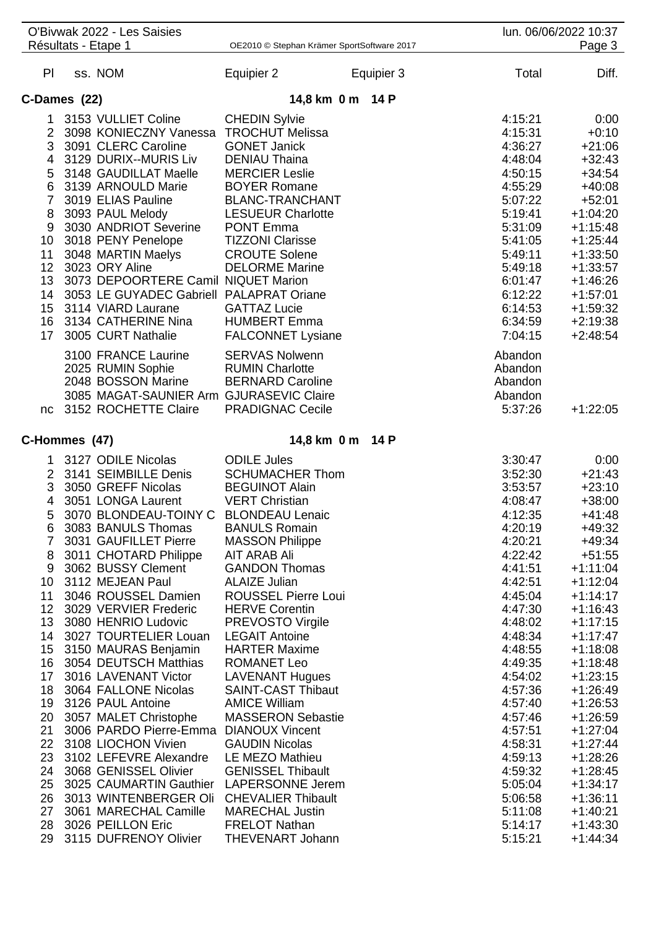|                        | O'Bivwak 2022 - Les Saisies<br>Résultats - Etape 1 | OE2010 © Stephan Krämer SportSoftware 2017      |            |                    | lun. 06/06/2022 10:37<br>Page 3 |
|------------------------|----------------------------------------------------|-------------------------------------------------|------------|--------------------|---------------------------------|
|                        |                                                    |                                                 |            |                    |                                 |
| PI.                    | ss. NOM                                            | Equipier 2                                      | Equipier 3 | Total              | Diff.                           |
|                        | C-Dames (22)                                       | 14,8 km 0 m 14 P                                |            |                    |                                 |
| 1                      | 3153 VULLIET Coline                                | <b>CHEDIN Sylvie</b>                            |            | 4:15:21            | 0:00                            |
|                        | 2 3098 KONIECZNY Vanessa TROCHUT Melissa           |                                                 |            | 4:15:31            | $+0:10$                         |
|                        | 3 3091 CLERC Caroline                              | <b>GONET Janick</b>                             |            | 4:36:27            | $+21:06$                        |
| 4                      | 3129 DURIX--MURIS Liv                              | <b>DENIAU Thaina</b>                            |            | 4:48:04            | $+32:43$                        |
| 5                      | 3148 GAUDILLAT Maelle                              | <b>MERCIER Leslie</b>                           |            | 4:50:15            | $+34:54$                        |
| 6                      | 3139 ARNOULD Marie                                 | <b>BOYER Romane</b>                             |            | 4:55:29            | $+40:08$                        |
|                        | 7 3019 ELIAS Pauline                               | <b>BLANC-TRANCHANT</b>                          |            | 5:07:22            | $+52:01$                        |
| 8                      | 3093 PAUL Melody                                   | <b>LESUEUR Charlotte</b>                        |            | 5:19:41            | $+1:04:20$                      |
| 9                      | 3030 ANDRIOT Severine                              | <b>PONT Emma</b>                                |            | 5:31:09            | $+1:15:48$                      |
| 10                     | 3018 PENY Penelope                                 | <b>TIZZONI Clarisse</b><br><b>CROUTE Solene</b> |            | 5:41:05            | $+1:25:44$                      |
| 11<br>12 <sup>12</sup> | 3048 MARTIN Maelys<br>3023 ORY Aline               | <b>DELORME Marine</b>                           |            | 5:49:11<br>5:49:18 | $+1:33:50$<br>$+1:33:57$        |
| 13                     | 3073 DEPOORTERE Camil NIQUET Marion                |                                                 |            | 6:01:47            | $+1:46:26$                      |
|                        | 14 3053 LE GUYADEC Gabriell PALAPRAT Oriane        |                                                 |            | 6:12:22            | $+1:57:01$                      |
| 15                     | 3114 VIARD Laurane                                 | <b>GATTAZ Lucie</b>                             |            | 6:14:53            | $+1:59:32$                      |
| 16                     | 3134 CATHERINE Nina                                | <b>HUMBERT Emma</b>                             |            | 6:34:59            | $+2:19:38$                      |
| 17                     | 3005 CURT Nathalie                                 | <b>FALCONNET Lysiane</b>                        |            | 7:04:15            | $+2:48:54$                      |
|                        | 3100 FRANCE Laurine                                | <b>SERVAS Nolwenn</b>                           |            | Abandon            |                                 |
|                        | 2025 RUMIN Sophie                                  | <b>RUMIN Charlotte</b>                          |            | Abandon            |                                 |
|                        | 2048 BOSSON Marine                                 | <b>BERNARD Caroline</b>                         |            | Abandon            |                                 |
|                        | 3085 MAGAT-SAUNIER Arm GJURASEVIC Claire           |                                                 |            | Abandon            |                                 |
| nc                     | 3152 ROCHETTE Claire                               | <b>PRADIGNAC Cecile</b>                         |            | 5:37:26            | $+1:22:05$                      |
|                        | C-Hommes (47)                                      | 14,8 km 0 m 14 P                                |            |                    |                                 |
| 1                      | 3127 ODILE Nicolas                                 | <b>ODILE Jules</b>                              |            | 3:30:47            | 0:00                            |
| $\overline{2}$         | 3141 SEIMBILLE Denis                               | <b>SCHUMACHER Thom</b>                          |            | 3:52:30            | $+21:43$                        |
| 3                      | 3050 GREFF Nicolas                                 | <b>BEGUINOT Alain</b>                           |            | 3:53:57            | $+23:10$                        |
| 4                      | 3051 LONGA Laurent                                 | <b>VERT Christian</b>                           |            | 4:08:47            | $+38:00$                        |
| 5                      | 3070 BLONDEAU-TOINY C BLONDEAU Lenaic              |                                                 |            | 4:12:35            | $+41:48$                        |
| 6                      | 3083 BANULS Thomas                                 | <b>BANULS Romain</b>                            |            | 4:20:19            | $+49:32$                        |
|                        | 7 3031 GAUFILLET Pierre                            | <b>MASSON Philippe</b>                          |            | 4:20:21            | $+49:34$                        |
| 8                      | 3011 CHOTARD Philippe                              | AIT ARAB Ali                                    |            | 4:22:42            | $+51:55$                        |
| 9                      | 3062 BUSSY Clement                                 | <b>GANDON Thomas</b>                            |            | 4:41:51            | $+1:11:04$                      |
| 10                     | 3112 MEJEAN Paul                                   | <b>ALAIZE Julian</b>                            |            | 4:42:51            | $+1:12:04$                      |
| 11                     | 3046 ROUSSEL Damien<br>12 3029 VERVIER Frederic    | <b>ROUSSEL Pierre Loui</b>                      |            | 4:45:04            | $+1:14:17$                      |
| 13                     | 3080 HENRIO Ludovic                                | <b>HERVE Corentin</b><br>PREVOSTO Virgile       |            | 4:47:30<br>4:48:02 | $+1:16:43$<br>$+1:17:15$        |
|                        | 14 3027 TOURTELIER Louan LEGAIT Antoine            |                                                 |            | 4:48:34            | $+1:17:47$                      |
|                        | 15 3150 MAURAS Benjamin                            | <b>HARTER Maxime</b>                            |            | 4:48:55            | $+1:18:08$                      |
|                        | 16 3054 DEUTSCH Matthias                           | ROMANET Leo                                     |            | 4:49:35            | $+1:18:48$                      |
|                        | 17 3016 LAVENANT Victor                            | <b>LAVENANT Hugues</b>                          |            | 4:54:02            | $+1:23:15$                      |
|                        | 18 3064 FALLONE Nicolas                            | <b>SAINT-CAST Thibaut</b>                       |            | 4:57:36            | $+1:26:49$                      |
|                        | 19 3126 PAUL Antoine                               | <b>AMICE William</b>                            |            | 4:57:40            | $+1:26:53$                      |
|                        | 20 3057 MALET Christophe                           | <b>MASSERON Sebastie</b>                        |            | 4:57:46            | $+1:26:59$                      |
| 21                     | 3006 PARDO Pierre-Emma DIANOUX Vincent             |                                                 |            | 4:57:51            | $+1:27:04$                      |
|                        | 22 3108 LIOCHON Vivien                             | <b>GAUDIN Nicolas</b>                           |            | 4:58:31            | $+1:27:44$                      |
|                        | 23 3102 LEFEVRE Alexandre LE MEZO Mathieu          |                                                 |            | 4:59:13            | $+1:28:26$                      |
|                        | 24 3068 GENISSEL Olivier GENISSEL Thibault         |                                                 |            | 4:59:32            | $+1:28:45$                      |
| 25                     | 3025 CAUMARTIN Gauthier LAPERSONNE Jerem           |                                                 |            | 5:05:04            | $+1:34:17$                      |
| 26                     | 3013 WINTENBERGER Oli CHEVALIER Thibault           |                                                 |            | 5:06:58            | $+1:36:11$                      |
| 27                     | 3061 MARECHAL Camille                              | <b>MARECHAL Justin</b>                          |            | 5:11:08            | $+1:40:21$                      |
| 28                     | 3026 PEILLON Eric                                  | <b>FRELOT Nathan</b>                            |            | 5:14:17            | $+1:43:30$                      |
|                        | 29 3115 DUFRENOY Olivier                           | <b>THEVENART Johann</b>                         |            | 5:15:21            | $+1:44:34$                      |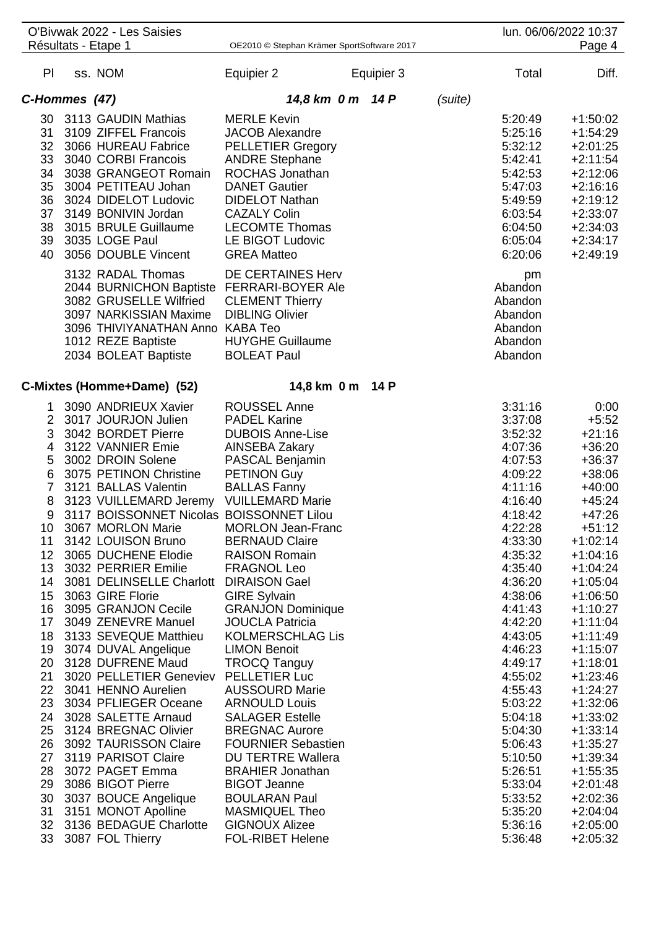|                | O'Bivwak 2022 - Les Saisies<br>Résultats - Etape 1 | OE2010 © Stephan Krämer SportSoftware 2017     |            |         |                    | lun. 06/06/2022 10:37<br>Page 4 |
|----------------|----------------------------------------------------|------------------------------------------------|------------|---------|--------------------|---------------------------------|
| PI.            | ss. NOM                                            | Equipier 2                                     | Equipier 3 |         | Total              | Diff.                           |
| C-Hommes (47)  |                                                    | 14,8 km 0 m 14 P                               |            | (suite) |                    |                                 |
|                | 30 3113 GAUDIN Mathias                             | <b>MERLE Kevin</b>                             |            |         | 5:20:49            | $+1:50:02$                      |
| 31             | 3109 ZIFFEL Francois                               | <b>JACOB Alexandre</b>                         |            |         | 5:25:16            | $+1:54:29$                      |
| 32             | 3066 HUREAU Fabrice                                | <b>PELLETIER Gregory</b>                       |            |         | 5:32:12            | $+2:01:25$                      |
| 33             | 3040 CORBI Francois                                | <b>ANDRE Stephane</b>                          |            |         | 5:42:41            | $+2:11:54$                      |
| 34             | 3038 GRANGEOT Romain                               | ROCHAS Jonathan                                |            |         | 5:42:53            | $+2:12:06$                      |
| 35             | 3004 PETITEAU Johan                                | <b>DANET Gautier</b>                           |            |         | 5:47:03            | $+2:16:16$                      |
| 36             | 3024 DIDELOT Ludovic                               | <b>DIDELOT Nathan</b>                          |            |         | 5:49:59            | $+2:19:12$                      |
| 37             | 3149 BONIVIN Jordan                                | <b>CAZALY Colin</b>                            |            |         | 6:03:54            | $+2:33:07$                      |
| 38             | 3015 BRULE Guillaume                               | <b>LECOMTE Thomas</b>                          |            |         | 6:04:50            | $+2:34:03$                      |
| 39             | 3035 LOGE Paul                                     | LE BIGOT Ludovic                               |            |         | 6:05:04            | $+2:34:17$                      |
| 40             | 3056 DOUBLE Vincent                                | <b>GREA Matteo</b>                             |            |         | 6:20:06            | $+2:49:19$                      |
|                | 3132 RADAL Thomas                                  | DE CERTAINES Herv                              |            |         | pm                 |                                 |
|                | 2044 BURNICHON Baptiste FERRARI-BOYER Ale          |                                                |            |         | Abandon            |                                 |
|                | 3082 GRUSELLE Wilfried                             | <b>CLEMENT Thierry</b>                         |            |         | Abandon            |                                 |
|                | 3097 NARKISSIAN Maxime                             | <b>DIBLING Olivier</b>                         |            |         | Abandon            |                                 |
|                | 3096 THIVIYANATHAN Anno KABA Teo                   |                                                |            |         | Abandon            |                                 |
|                | 1012 REZE Baptiste                                 | <b>HUYGHE Guillaume</b>                        |            |         | Abandon            |                                 |
|                | 2034 BOLEAT Baptiste                               | <b>BOLEAT Paul</b>                             |            |         | Abandon            |                                 |
|                |                                                    |                                                |            |         |                    |                                 |
|                | C-Mixtes (Homme+Dame) (52)                         | 14,8 km 0 m                                    | 14 P       |         |                    |                                 |
| 1              | 3090 ANDRIEUX Xavier                               | <b>ROUSSEL Anne</b>                            |            |         | 3:31:16            | 0:00                            |
|                | 2 3017 JOURJON Julien                              | <b>PADEL Karine</b>                            |            |         | 3:37:08            | $+5:52$                         |
| 3              | 3042 BORDET Pierre                                 | <b>DUBOIS Anne-Lise</b>                        |            |         | 3:52:32            | $+21:16$                        |
| 4              | 3122 VANNIER Emie                                  | AINSEBA Zakary                                 |            |         | 4:07:36            | $+36:20$                        |
| 5              | 3002 DROIN Solene                                  | PASCAL Benjamin                                |            |         | 4:07:53            | $+36:37$                        |
| 6              | 3075 PETINON Christine                             | <b>PETINON Guy</b>                             |            |         | 4:09:22            | $+38:06$                        |
| $\overline{7}$ | 3121 BALLAS Valentin                               | <b>BALLAS Fanny</b>                            |            |         | 4:11:16            | $+40:00$                        |
| 8              | 3123 VUILLEMARD Jeremy VUILLEMARD Marie            |                                                |            |         | 4:16:40            | $+45:24$                        |
| 9              | 3117 BOISSONNET Nicolas BOISSONNET Lilou           |                                                |            |         | 4:18:42            | $+47:26$                        |
| 10             | 3067 MORLON Marie                                  | <b>MORLON Jean-Franc</b>                       |            |         | 4:22:28            | $+51:12$                        |
| 11             | 3142 LOUISON Bruno                                 | <b>BERNAUD Claire</b>                          |            |         | 4:33:30            | $+1:02:14$                      |
| 12             | 3065 DUCHENE Elodie                                | <b>RAISON Romain</b>                           |            |         | 4:35:32            | $+1:04:16$                      |
| 13             | 3032 PERRIER Emilie                                | <b>FRAGNOL Leo</b>                             |            |         | 4:35:40            | $+1:04:24$                      |
| 14             | 3081 DELINSELLE Charlott DIRAISON Gael             |                                                |            |         | 4:36:20            | $+1:05:04$                      |
| 15             | 3063 GIRE Florie                                   | <b>GIRE Sylvain</b>                            |            |         | 4:38:06            | $+1:06:50$                      |
| 16             | 3095 GRANJON Cecile                                | <b>GRANJON Dominique</b>                       |            |         | 4:41:43            | $+1:10:27$                      |
| 17             | 3049 ZENEVRE Manuel                                | <b>JOUCLA Patricia</b>                         |            |         | 4:42:20            | $+1:11:04$                      |
| 18             | 3133 SEVEQUE Matthieu                              | <b>KOLMERSCHLAG Lis</b>                        |            |         | 4:43:05            | $+1:11:49$                      |
| 19             | 3074 DUVAL Angelique                               | <b>LIMON Benoit</b>                            |            |         | 4:46:23            | $+1:15:07$                      |
| 20             | 3128 DUFRENE Maud                                  | <b>TROCQ Tanguy</b>                            |            |         | 4:49:17            | $+1:18:01$                      |
| 21             | 3020 PELLETIER Geneviev PELLETIER Luc              |                                                |            |         | 4:55:02            | $+1:23:46$                      |
| 22             | 3041 HENNO Aurelien                                | <b>AUSSOURD Marie</b>                          |            |         | 4:55:43            | $+1:24:27$                      |
| 23             | 3034 PFLIEGER Oceane                               | <b>ARNOULD Louis</b><br><b>SALAGER Estelle</b> |            |         | 5:03:22            | $+1:32:06$                      |
| 24<br>25       | 3028 SALETTE Arnaud<br>3124 BREGNAC Olivier        | <b>BREGNAC Aurore</b>                          |            |         | 5:04:18<br>5:04:30 | $+1:33:02$<br>$+1:33:14$        |
| 26             | 3092 TAURISSON Claire                              | <b>FOURNIER Sebastien</b>                      |            |         | 5:06:43            | $+1:35:27$                      |
| 27             | 3119 PARISOT Claire                                | <b>DU TERTRE Wallera</b>                       |            |         | 5:10:50            | $+1:39:34$                      |
| 28             | 3072 PAGET Emma                                    | <b>BRAHIER Jonathan</b>                        |            |         | 5:26:51            | $+1:55:35$                      |
| 29             | 3086 BIGOT Pierre                                  | <b>BIGOT Jeanne</b>                            |            |         | 5:33:04            | $+2:01:48$                      |
| 30             | 3037 BOUCE Angelique                               | <b>BOULARAN Paul</b>                           |            |         | 5:33:52            | $+2:02:36$                      |
| 31             | 3151 MONOT Apolline                                | <b>MASMIQUEL Theo</b>                          |            |         | 5:35:20            | $+2:04:04$                      |
| 32             | 3136 BEDAGUE Charlotte                             | <b>GIGNOUX Alizee</b>                          |            |         | 5:36:16            | $+2:05:00$                      |
| 33             | 3087 FOL Thierry                                   | <b>FOL-RIBET Helene</b>                        |            |         | 5:36:48            | $+2:05:32$                      |
|                |                                                    |                                                |            |         |                    |                                 |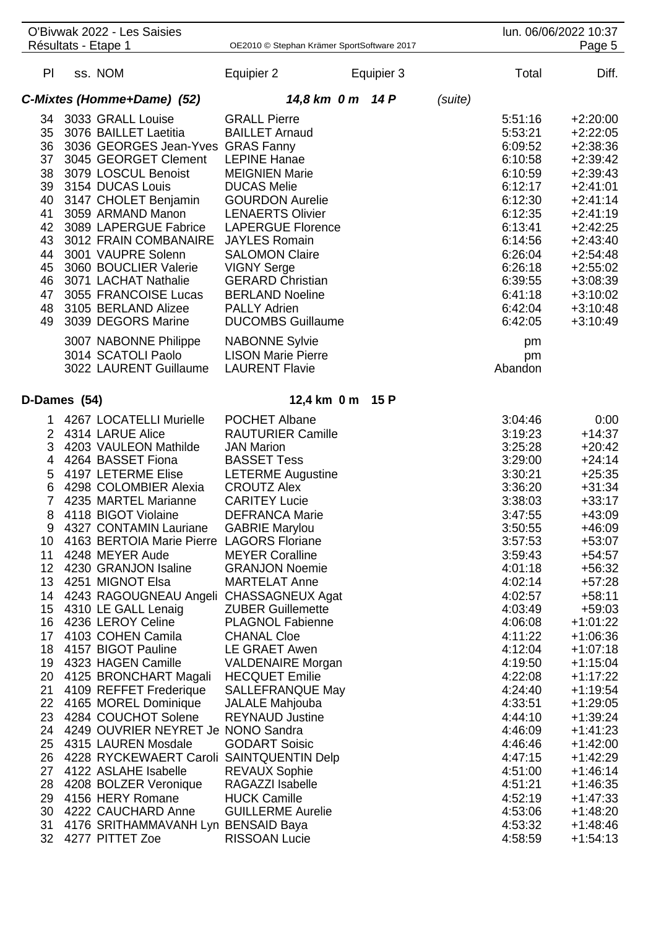|                | O'Bivwak 2022 - Les Saisies                  |                                            |            |         |         | lun. 06/06/2022 10:37 |
|----------------|----------------------------------------------|--------------------------------------------|------------|---------|---------|-----------------------|
|                | Résultats - Etape 1                          | OE2010 © Stephan Krämer SportSoftware 2017 |            |         |         | Page 5                |
| PI             | ss. NOM                                      | Equipier 2                                 | Equipier 3 |         | Total   | Diff.                 |
|                | C-Mixtes (Homme+Dame) (52)                   | 14,8 km 0 m 14 P                           |            | (suite) |         |                       |
| 34             | 3033 GRALL Louise                            | <b>GRALL Pierre</b>                        |            |         | 5:51:16 | $+2:20:00$            |
|                | 35 3076 BAILLET Laetitia                     | <b>BAILLET Arnaud</b>                      |            |         | 5:53:21 | $+2:22:05$            |
|                | 36 3036 GEORGES Jean-Yves GRAS Fanny         |                                            |            |         | 6:09:52 | $+2:38:36$            |
|                | 37 3045 GEORGET Clement                      | <b>LEPINE Hanae</b>                        |            |         | 6:10:58 | $+2:39:42$            |
|                |                                              |                                            |            |         |         |                       |
|                | 38 3079 LOSCUL Benoist                       | <b>MEIGNIEN Marie</b>                      |            |         | 6:10:59 | $+2:39:43$            |
|                | 39 3154 DUCAS Louis                          | <b>DUCAS Melie</b>                         |            |         | 6:12:17 | $+2:41:01$            |
| 40             | 3147 CHOLET Benjamin                         | <b>GOURDON Aurelie</b>                     |            |         | 6:12:30 | $+2:41:14$            |
| 41             | 3059 ARMAND Manon                            | <b>LENAERTS Olivier</b>                    |            |         | 6:12:35 | $+2:41:19$            |
|                | 42 3089 LAPERGUE Fabrice                     | <b>LAPERGUE Florence</b>                   |            |         | 6:13:41 | $+2:42:25$            |
| 43             | 3012 FRAIN COMBANAIRE                        | <b>JAYLES Romain</b>                       |            |         | 6:14:56 | $+2:43:40$            |
| 44             | 3001 VAUPRE Solenn                           | <b>SALOMON Claire</b>                      |            |         | 6:26:04 | $+2:54:48$            |
| 45             | 3060 BOUCLIER Valerie                        | <b>VIGNY Serge</b>                         |            |         | 6:26:18 | $+2:55:02$            |
| 46             | 3071 LACHAT Nathalie                         | <b>GERARD Christian</b>                    |            |         | 6:39:55 | $+3:08:39$            |
| 47             | 3055 FRANCOISE Lucas                         | <b>BERLAND Noeline</b>                     |            |         | 6:41:18 | $+3:10:02$            |
| 48             | 3105 BERLAND Alizee                          | <b>PALLY Adrien</b>                        |            |         | 6:42:04 | $+3:10:48$            |
| 49             | 3039 DEGORS Marine                           | <b>DUCOMBS Guillaume</b>                   |            |         | 6:42:05 | $+3:10:49$            |
|                |                                              |                                            |            |         |         |                       |
|                | 3007 NABONNE Philippe                        | <b>NABONNE Sylvie</b>                      |            |         | pm      |                       |
|                | 3014 SCATOLI Paolo                           | <b>LISON Marie Pierre</b>                  |            |         | pm      |                       |
|                | 3022 LAURENT Guillaume                       | <b>LAURENT Flavie</b>                      |            |         | Abandon |                       |
|                |                                              |                                            |            |         |         |                       |
| D-Dames (54)   |                                              | 12,4 km 0 m 15 P                           |            |         |         |                       |
| 1              | 4267 LOCATELLI Murielle                      | POCHET Albane                              |            |         | 3:04:46 | 0:00                  |
|                | 2 4314 LARUE Alice                           | <b>RAUTURIER Camille</b>                   |            |         | 3:19:23 | $+14:37$              |
| 3              | 4203 VAULEON Mathilde                        | <b>JAN Marion</b>                          |            |         | 3:25:28 | $+20:42$              |
| 4              | 4264 BASSET Fiona                            | <b>BASSET Tess</b>                         |            |         | 3:29:00 | $+24:14$              |
| 5              | 4197 LETERME Elise                           | <b>LETERME Augustine</b>                   |            |         | 3:30:21 | $+25:35$              |
| 6              | 4298 COLOMBIER Alexia                        | <b>CROUTZ Alex</b>                         |            |         | 3:36:20 | $+31:34$              |
| $\overline{7}$ | 4235 MARTEL Marianne                         | <b>CARITEY Lucie</b>                       |            |         | 3:38:03 | $+33:17$              |
|                |                                              |                                            |            |         |         |                       |
| 8              | 4118 BIGOT Violaine                          | <b>DEFRANCA Marie</b>                      |            |         | 3:47:55 | $+43:09$              |
| 9              | 4327 CONTAMIN Lauriane                       | <b>GABRIE Marylou</b>                      |            |         | 3:50:55 | $+46:09$              |
|                | 10 4163 BERTOIA Marie Pierre LAGORS Floriane |                                            |            |         | 3:57:53 | $+53:07$              |
| 11             | 4248 MEYER Aude                              | <b>MEYER Coralline</b>                     |            |         | 3:59:43 | $+54:57$              |
|                | 12 4230 GRANJON Isaline                      | <b>GRANJON Noemie</b>                      |            |         | 4:01:18 | $+56:32$              |
| 13             | 4251 MIGNOT Elsa                             | <b>MARTELAT Anne</b>                       |            |         | 4:02:14 | $+57:28$              |
|                | 14 4243 RAGOUGNEAU Angeli CHASSAGNEUX Agat   |                                            |            |         | 4:02:57 | $+58:11$              |
|                | 15 4310 LE GALL Lenaig                       | <b>ZUBER Guillemette</b>                   |            |         | 4:03:49 | $+59:03$              |
|                | 16 4236 LEROY Celine                         | <b>PLAGNOL Fabienne</b>                    |            |         | 4:06:08 | $+1:01:22$            |
|                | 17 4103 COHEN Camila                         | <b>CHANAL Cloe</b>                         |            |         | 4:11:22 | $+1:06:36$            |
|                | 18 4157 BIGOT Pauline                        | LE GRAET Awen                              |            |         | 4:12:04 | $+1:07:18$            |
| 19             | 4323 HAGEN Camille                           | <b>VALDENAIRE Morgan</b>                   |            |         | 4:19:50 | $+1:15:04$            |
| 20             | 4125 BRONCHART Magali HECQUET Emilie         |                                            |            |         | 4:22:08 | $+1:17:22$            |
| 21             | 4109 REFFET Frederique                       | <b>SALLEFRANQUE May</b>                    |            |         | 4:24:40 | $+1:19:54$            |
|                | 22 4165 MOREL Dominique                      | <b>JALALE Mahjouba</b>                     |            |         | 4:33:51 | $+1:29:05$            |
| 23             | 4284 COUCHOT Solene                          | <b>REYNAUD Justine</b>                     |            |         | 4:44:10 | +1:39:24              |
| 24             | 4249 OUVRIER NEYRET Je NONO Sandra           |                                            |            |         | 4:46:09 | $+1:41:23$            |
| 25             | 4315 LAUREN Mosdale                          | <b>GODART Soisic</b>                       |            |         | 4:46:46 | $+1:42:00$            |
| 26             | 4228 RYCKEWAERT Caroli SAINTQUENTIN Delp     |                                            |            |         | 4:47:15 | $+1:42:29$            |
| 27             | 4122 ASLAHE Isabelle                         | <b>REVAUX Sophie</b>                       |            |         | 4:51:00 | $+1:46:14$            |
| 28             | 4208 BOLZER Veronique                        | RAGAZZI Isabelle                           |            |         | 4:51:21 | $+1:46:35$            |
| 29             | 4156 HERY Romane                             | <b>HUCK Camille</b>                        |            |         | 4:52:19 | $+1:47:33$            |
|                |                                              |                                            |            |         |         |                       |
| 30             | 4222 CAUCHARD Anne                           | <b>GUILLERME Aurelie</b>                   |            |         | 4:53:06 | $+1:48:20$            |
| 31             | 4176 SRITHAMMAVANH Lyn BENSAID Baya          |                                            |            |         | 4:53:32 | $+1:48:46$            |
|                | 32 4277 PITTET Zoe                           | <b>RISSOAN Lucie</b>                       |            |         | 4:58:59 | $+1:54:13$            |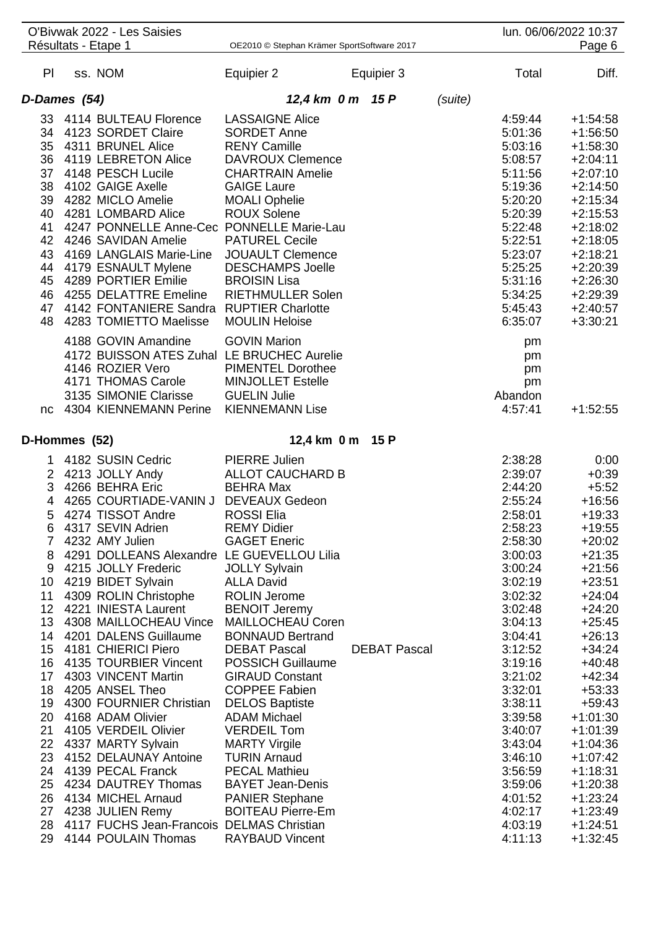|                 | O'Bivwak 2022 - Les Saisies                  |                                            |                     |         |         | lun. 06/06/2022 10:37 |
|-----------------|----------------------------------------------|--------------------------------------------|---------------------|---------|---------|-----------------------|
|                 | Résultats - Etape 1                          | OE2010 © Stephan Krämer SportSoftware 2017 |                     |         |         | Page 6                |
| PI.             | ss. NOM                                      | Equipier 2                                 | Equipier 3          |         | Total   | Diff.                 |
|                 | D-Dames (54)                                 | 12,4 km 0 m 15 P                           |                     | (suite) |         |                       |
| 33              | 4114 BULTEAU Florence                        | <b>LASSAIGNE Alice</b>                     |                     |         | 4:59:44 | $+1:54:58$            |
|                 | 34 4123 SORDET Claire                        | <b>SORDET Anne</b>                         |                     |         | 5:01:36 | $+1:56:50$            |
|                 | 35 4311 BRUNEL Alice                         | <b>RENY Camille</b>                        |                     |         | 5:03:16 | $+1:58:30$            |
|                 | 36 4119 LEBRETON Alice                       | <b>DAVROUX Clemence</b>                    |                     |         | 5:08:57 | $+2:04:11$            |
|                 | 37 4148 PESCH Lucile                         | <b>CHARTRAIN Amelie</b>                    |                     |         | 5:11:56 | $+2:07:10$            |
|                 | 38 4102 GAIGE Axelle                         | <b>GAIGE Laure</b>                         |                     |         | 5:19:36 |                       |
|                 |                                              |                                            |                     |         |         | $+2:14:50$            |
|                 | 39 4282 MICLO Amelie                         | <b>MOALI Ophelie</b>                       |                     |         | 5:20:20 | $+2:15:34$            |
|                 | 40 4281 LOMBARD Alice                        | <b>ROUX Solene</b>                         |                     |         | 5:20:39 | $+2:15:53$            |
|                 | 41 4247 PONNELLE Anne-Cec PONNELLE Marie-Lau |                                            |                     |         | 5:22:48 | $+2:18:02$            |
|                 | 42 4246 SAVIDAN Amelie                       | <b>PATUREL Cecile</b>                      |                     |         | 5:22:51 | $+2:18:05$            |
|                 | 43 4169 LANGLAIS Marie-Line                  | <b>JOUAULT Clemence</b>                    |                     |         | 5:23:07 | $+2:18:21$            |
| 44              | 4179 ESNAULT Mylene                          | <b>DESCHAMPS Joelle</b>                    |                     |         | 5:25:25 | $+2:20:39$            |
| 45              | 4289 PORTIER Emilie                          | <b>BROISIN Lisa</b>                        |                     |         | 5:31:16 | $+2:26:30$            |
| 46              | 4255 DELATTRE Emeline                        | <b>RIETHMULLER Solen</b>                   |                     |         | 5:34:25 | $+2:29:39$            |
|                 | 47 4142 FONTANIERE Sandra RUPTIER Charlotte  |                                            |                     |         | 5:45:43 | $+2:40:57$            |
| 48              | 4283 TOMIETTO Maelisse                       | <b>MOULIN Heloise</b>                      |                     |         | 6:35:07 | $+3:30:21$            |
|                 | 4188 GOVIN Amandine                          | <b>GOVIN Marion</b>                        |                     |         | pm      |                       |
|                 | 4172 BUISSON ATES Zuhal LE BRUCHEC Aurelie   |                                            |                     |         | pm      |                       |
|                 | 4146 ROZIER Vero                             | <b>PIMENTEL Dorothee</b>                   |                     |         | pm      |                       |
|                 | 4171 THOMAS Carole                           | <b>MINJOLLET Estelle</b>                   |                     |         | pm      |                       |
|                 | 3135 SIMONIE Clarisse                        | <b>GUELIN Julie</b>                        |                     |         | Abandon |                       |
| nc.             | 4304 KIENNEMANN Perine                       | <b>KIENNEMANN Lise</b>                     |                     |         | 4:57:41 | $+1:52:55$            |
|                 | D-Hommes (52)                                | 12,4 km 0 m 15 P                           |                     |         |         |                       |
| 1               | 4182 SUSIN Cedric                            | <b>PIERRE Julien</b>                       |                     |         | 2:38:28 | 0:00                  |
|                 |                                              |                                            |                     |         |         |                       |
|                 | 2 4213 JOLLY Andy                            | ALLOT CAUCHARD B                           |                     |         | 2:39:07 | $+0:39$               |
| 3               | 4266 BEHRA Eric                              | <b>BEHRA Max</b>                           |                     |         | 2:44:20 | $+5:52$               |
|                 | 4 4265 COURTIADE-VANIN J                     | <b>DEVEAUX Gedeon</b>                      |                     |         | 2:55:24 | $+16:56$              |
| 5               | 4274 TISSOT Andre                            | <b>ROSSI Elia</b>                          |                     |         | 2:58:01 | $+19:33$              |
| 6               | 4317 SEVIN Adrien                            | <b>REMY Didier</b>                         |                     |         | 2:58:23 | $+19:55$              |
|                 | 7 4232 AMY Julien                            | <b>GAGET Eneric</b>                        |                     |         | 2:58:30 | $+20:02$              |
|                 | 8 4291 DOLLEANS Alexandre LE GUEVELLOU Lilia |                                            |                     |         | 3:00:03 | $+21:35$              |
|                 | 9 4215 JOLLY Frederic                        | <b>JOLLY Sylvain</b>                       |                     |         | 3:00:24 | $+21:56$              |
| 10              | 4219 BIDET Sylvain                           | <b>ALLA David</b>                          |                     |         | 3:02:19 | $+23:51$              |
| 11              | 4309 ROLIN Christophe                        | <b>ROLIN Jerome</b>                        |                     |         | 3:02:32 | $+24:04$              |
| 12 <sub>2</sub> | 4221 INIESTA Laurent                         | <b>BENOIT Jeremy</b>                       |                     |         | 3:02:48 | $+24:20$              |
|                 | 13 4308 MAILLOCHEAU Vince MAILLOCHEAU Coren  |                                            |                     |         | 3:04:13 | $+25:45$              |
|                 | 14 4201 DALENS Guillaume                     | <b>BONNAUD Bertrand</b>                    |                     |         | 3:04:41 | $+26:13$              |
|                 | 15 4181 CHIERICI Piero                       | <b>DEBAT Pascal</b>                        | <b>DEBAT Pascal</b> |         | 3:12:52 | $+34:24$              |
|                 | 16 4135 TOURBIER Vincent                     | <b>POSSICH Guillaume</b>                   |                     |         | 3:19:16 | $+40:48$              |
|                 | 17 4303 VINCENT Martin                       | <b>GIRAUD Constant</b>                     |                     |         | 3:21:02 | $+42:34$              |
|                 | 18 4205 ANSEL Theo                           | <b>COPPEE Fabien</b>                       |                     |         | 3:32:01 | $+53:33$              |
|                 | 19 4300 FOURNIER Christian DELOS Baptiste    |                                            |                     |         | 3:38:11 | $+59:43$              |
|                 | 20 4168 ADAM Olivier                         | <b>ADAM Michael</b>                        |                     |         | 3:39:58 | $+1:01:30$            |
| 21              | 4105 VERDEIL Olivier                         | <b>VERDEIL Tom</b>                         |                     |         | 3:40:07 | $+1:01:39$            |
|                 | 22 4337 MARTY Sylvain                        | <b>MARTY Virgile</b>                       |                     |         | 3:43:04 |                       |
|                 |                                              |                                            |                     |         |         | $+1:04:36$            |
| 23              | 4152 DELAUNAY Antoine                        | <b>TURIN Arnaud</b>                        |                     |         | 3:46:10 | $+1:07:42$            |
| 24              | 4139 PECAL Franck                            | <b>PECAL Mathieu</b>                       |                     |         | 3:56:59 | $+1:18:31$            |
|                 | 25 4234 DAUTREY Thomas                       | <b>BAYET Jean-Denis</b>                    |                     |         | 3:59:06 | $+1:20:38$            |
|                 | 26 4134 MICHEL Arnaud                        | <b>PANIER Stephane</b>                     |                     |         | 4:01:52 | $+1:23:24$            |
|                 | 27 4238 JULIEN Remy                          | <b>BOITEAU Pierre-Em</b>                   |                     |         | 4:02:17 | $+1:23:49$            |
|                 | 28 4117 FUCHS Jean-Francois DELMAS Christian |                                            |                     |         | 4:03:19 | $+1:24:51$            |
|                 | 29 4144 POULAIN Thomas                       | <b>RAYBAUD Vincent</b>                     |                     |         | 4:11:13 | $+1:32:45$            |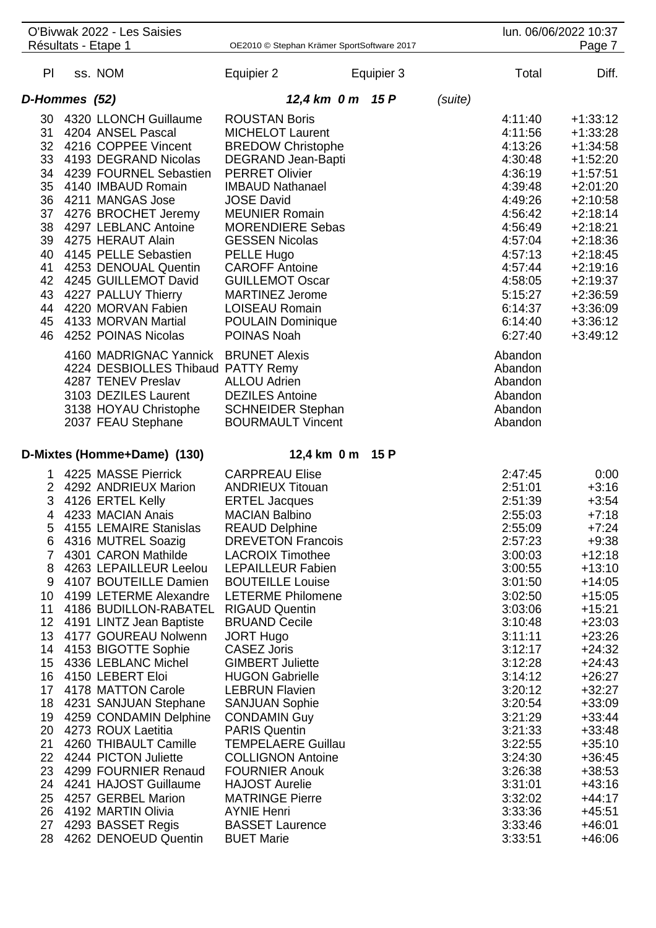|                | O'Bivwak 2022 - Les Saisies<br>Résultats - Etape 1 | OE2010 © Stephan Krämer SportSoftware 2017        |            |         |                    | lun. 06/06/2022 10:37<br>Page 7 |
|----------------|----------------------------------------------------|---------------------------------------------------|------------|---------|--------------------|---------------------------------|
|                |                                                    |                                                   |            |         |                    |                                 |
| PI.            | ss. NOM                                            | Equipier 2                                        | Equipier 3 |         | Total              | Diff.                           |
| D-Hommes (52)  |                                                    | 12,4 km 0 m 15 P                                  |            | (suite) |                    |                                 |
| 30             | 4320 LLONCH Guillaume                              | <b>ROUSTAN Boris</b>                              |            |         | 4:11:40            | $+1:33:12$                      |
| 31             | 4204 ANSEL Pascal                                  | <b>MICHELOT Laurent</b>                           |            |         | 4:11:56            | $+1:33:28$                      |
|                | 32 4216 COPPEE Vincent                             | <b>BREDOW Christophe</b>                          |            |         | 4:13:26            | $+1:34:58$                      |
| 33             | 4193 DEGRAND Nicolas                               | DEGRAND Jean-Bapti                                |            |         | 4:30:48            | $+1:52:20$                      |
| 34             | 4239 FOURNEL Sebastien                             | <b>PERRET Olivier</b>                             |            |         | 4:36:19            | $+1:57:51$                      |
| 35             | 4140 IMBAUD Romain                                 | <b>IMBAUD Nathanael</b>                           |            |         | 4:39:48            | $+2:01:20$                      |
|                | 36 4211 MANGAS Jose                                | <b>JOSE David</b>                                 |            |         | 4:49:26            | $+2:10:58$                      |
|                | 37 4276 BROCHET Jeremy                             | <b>MEUNIER Romain</b>                             |            |         | 4:56:42            | $+2:18:14$                      |
|                | 38 4297 LEBLANC Antoine                            | <b>MORENDIERE Sebas</b>                           |            |         | 4:56:49            | $+2:18:21$                      |
|                | 39 4275 HERAUT Alain                               | <b>GESSEN Nicolas</b>                             |            |         | 4:57:04            | $+2:18:36$                      |
| 40             | 4145 PELLE Sebastien                               | PELLE Hugo                                        |            |         | 4:57:13            | $+2:18:45$                      |
| 41             | 4253 DENOUAL Quentin                               | <b>CAROFF Antoine</b>                             |            |         | 4:57:44            | $+2:19:16$                      |
|                | 42 4245 GUILLEMOT David                            | <b>GUILLEMOT Oscar</b>                            |            |         | 4:58:05            | $+2:19:37$                      |
|                | 43 4227 PALLUY Thierry                             | <b>MARTINEZ Jerome</b>                            |            |         | 5:15:27            | $+2:36:59$                      |
|                | 44 4220 MORVAN Fabien                              | <b>LOISEAU Romain</b>                             |            |         | 6:14:37            | $+3:36:09$                      |
|                | 45 4133 MORVAN Martial                             | <b>POULAIN Dominique</b>                          |            |         | 6:14:40            | $+3:36:12$                      |
|                | 46 4252 POINAS Nicolas                             | POINAS Noah                                       |            |         | 6:27:40            | $+3:49:12$                      |
|                | 4160 MADRIGNAC Yannick BRUNET Alexis               |                                                   |            |         | Abandon            |                                 |
|                | 4224 DESBIOLLES Thibaud PATTY Remy                 |                                                   |            |         | Abandon            |                                 |
|                | 4287 TENEV Preslav                                 | <b>ALLOU Adrien</b>                               |            |         | Abandon            |                                 |
|                | 3103 DEZILES Laurent                               | <b>DEZILES</b> Antoine                            |            |         | Abandon            |                                 |
|                | 3138 HOYAU Christophe                              | <b>SCHNEIDER Stephan</b>                          |            |         | Abandon            |                                 |
|                | 2037 FEAU Stephane                                 | <b>BOURMAULT Vincent</b>                          |            |         | Abandon            |                                 |
|                |                                                    |                                                   |            |         |                    |                                 |
|                | D-Mixtes (Homme+Dame) (130)                        | 12,4 km 0 m 15 P                                  |            |         |                    |                                 |
|                |                                                    |                                                   |            |         |                    |                                 |
| 1.             | 4225 MASSE Pierrick                                | <b>CARPREAU Elise</b><br><b>ANDRIEUX Titouan</b>  |            |         | 2:47:45            | 0:00                            |
|                | 2 4292 ANDRIEUX Marion<br>3 4126 ERTEL Kelly       | <b>ERTEL Jacques</b>                              |            |         | 2:51:01<br>2:51:39 | $+3:16$<br>$+3:54$              |
| $\overline{4}$ |                                                    |                                                   |            |         | 2:55:03            | $+7:18$                         |
| 5              | 4233 MACIAN Anais<br>4155 LEMAIRE Stanislas        | <b>MACIAN Balbino</b><br><b>REAUD Delphine</b>    |            |         | 2:55:09            | $+7:24$                         |
| 6              | 4316 MUTREL Soazig                                 | <b>DREVETON Francois</b>                          |            |         | 2:57:23            | $+9:38$                         |
| $\overline{7}$ | 4301 CARON Mathilde                                | <b>LACROIX Timothee</b>                           |            |         | 3:00:03            | $+12:18$                        |
| 8              | 4263 LEPAILLEUR Leelou                             | <b>LEPAILLEUR Fabien</b>                          |            |         | 3:00:55            | $+13:10$                        |
| 9              | 4107 BOUTEILLE Damien                              | <b>BOUTEILLE Louise</b>                           |            |         | 3:01:50            | $+14:05$                        |
| 10             | 4199 LETERME Alexandre                             | <b>LETERME Philomene</b>                          |            |         | 3:02:50            | $+15:05$                        |
| 11             | 4186 BUDILLON-RABATEL RIGAUD Quentin               |                                                   |            |         | 3:03:06            | $+15:21$                        |
| 12             | 4191 LINTZ Jean Baptiste                           | <b>BRUAND Cecile</b>                              |            |         | 3:10:48            | $+23:03$                        |
| 13             | 4177 GOUREAU Nolwenn                               | <b>JORT Hugo</b>                                  |            |         | 3:11:11            | $+23:26$                        |
| 14             | 4153 BIGOTTE Sophie                                | <b>CASEZ Joris</b>                                |            |         | 3:12:17            | $+24:32$                        |
| 15             | 4336 LEBLANC Michel                                | <b>GIMBERT Juliette</b>                           |            |         | 3:12:28            | $+24:43$                        |
| 16             | 4150 LEBERT Eloi                                   | <b>HUGON Gabrielle</b>                            |            |         | 3:14:12            | $+26:27$                        |
| 17             | 4178 MATTON Carole                                 | <b>LEBRUN Flavien</b>                             |            |         | 3:20:12            | $+32:27$                        |
| 18             | 4231 SANJUAN Stephane                              | <b>SANJUAN Sophie</b>                             |            |         | 3:20:54            | $+33:09$                        |
| 19             | 4259 CONDAMIN Delphine                             | <b>CONDAMIN Guy</b>                               |            |         | 3:21:29            | $+33:44$                        |
| 20<br>21       | 4273 ROUX Laetitia                                 | <b>PARIS Quentin</b><br><b>TEMPELAERE Guillau</b> |            |         | 3:21:33            | $+33:48$                        |
|                | 4260 THIBAULT Camille<br>22 4244 PICTON Juliette   | <b>COLLIGNON Antoine</b>                          |            |         | 3:22:55<br>3:24:30 | $+35:10$<br>$+36:45$            |
| 23             | 4299 FOURNIER Renaud                               | <b>FOURNIER Anouk</b>                             |            |         | 3:26:38            | $+38:53$                        |
| 24             | 4241 HAJOST Guillaume                              | <b>HAJOST Aurelie</b>                             |            |         | 3:31:01            | $+43:16$                        |
| 25             | 4257 GERBEL Marion                                 | <b>MATRINGE Pierre</b>                            |            |         | 3:32:02            | $+44:17$                        |
| 26             | 4192 MARTIN Olivia                                 | <b>AYNIE Henri</b>                                |            |         | 3:33:36            | $+45:51$                        |
| 27<br>28       | 4293 BASSET Regis<br>4262 DENOEUD Quentin          | <b>BASSET Laurence</b><br><b>BUET Marie</b>       |            |         | 3:33:46<br>3:33:51 | $+46:01$<br>$+46:06$            |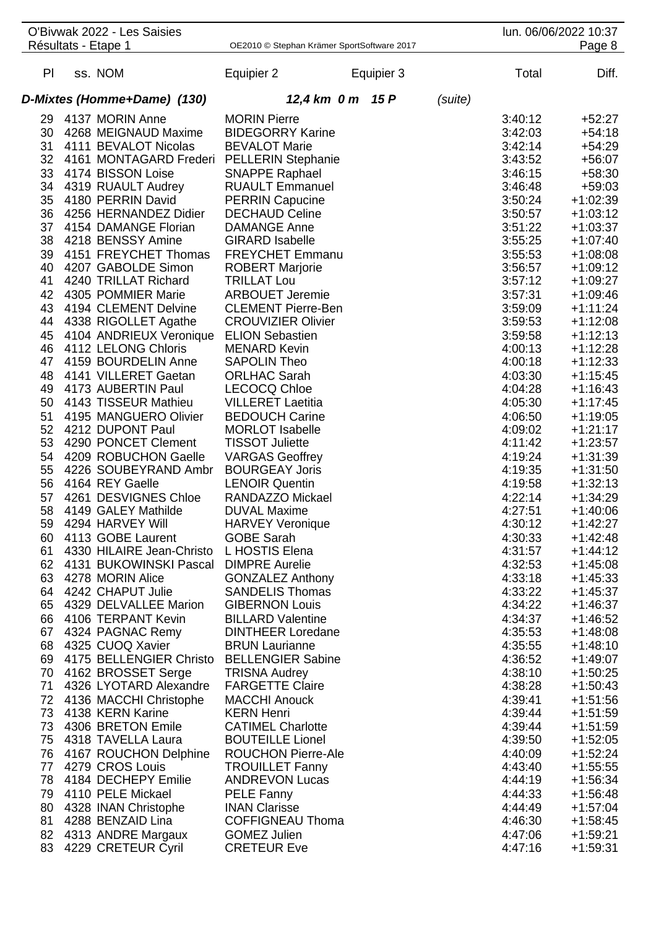|    |                     | O'Bivwak 2022 - Les Saisies               |                                            |            |         |         | lun. 06/06/2022 10:37 |
|----|---------------------|-------------------------------------------|--------------------------------------------|------------|---------|---------|-----------------------|
|    | Résultats - Etape 1 |                                           | OE2010 © Stephan Krämer SportSoftware 2017 |            |         |         | Page 8                |
| PI | ss. NOM             |                                           | Equipier 2                                 | Equipier 3 |         | Total   | Diff.                 |
|    |                     | D-Mixtes (Homme+Dame) (130)               | 12,4 km 0 m                                | 15 P       | (suite) |         |                       |
| 29 |                     | 4137 MORIN Anne                           | <b>MORIN Pierre</b>                        |            |         | 3:40:12 | $+52:27$              |
| 30 |                     | 4268 MEIGNAUD Maxime                      | <b>BIDEGORRY Karine</b>                    |            |         | 3:42:03 | $+54:18$              |
| 31 |                     | 4111 BEVALOT Nicolas                      | <b>BEVALOT Marie</b>                       |            |         | 3:42:14 | $+54:29$              |
| 32 |                     | 4161 MONTAGARD Frederi PELLERIN Stephanie |                                            |            |         | 3:43:52 | $+56:07$              |
| 33 |                     | 4174 BISSON Loise                         | <b>SNAPPE Raphael</b>                      |            |         | 3:46:15 | $+58:30$              |
| 34 |                     | 4319 RUAULT Audrey                        | <b>RUAULT Emmanuel</b>                     |            |         | 3:46:48 | $+59:03$              |
| 35 |                     | 4180 PERRIN David                         | <b>PERRIN Capucine</b>                     |            |         | 3:50:24 | $+1:02:39$            |
| 36 |                     | 4256 HERNANDEZ Didier                     | <b>DECHAUD Celine</b>                      |            |         | 3:50:57 | $+1:03:12$            |
| 37 |                     | 4154 DAMANGE Florian                      | <b>DAMANGE Anne</b>                        |            |         | 3:51:22 | $+1:03:37$            |
| 38 |                     | 4218 BENSSY Amine                         | <b>GIRARD Isabelle</b>                     |            |         | 3:55:25 | $+1:07:40$            |
| 39 |                     | 4151 FREYCHET Thomas                      | <b>FREYCHET Emmanu</b>                     |            |         | 3:55:53 | $+1:08:08$            |
| 40 |                     | 4207 GABOLDE Simon                        | <b>ROBERT Marjorie</b>                     |            |         | 3:56:57 | $+1:09:12$            |
| 41 |                     | 4240 TRILLAT Richard                      | <b>TRILLAT Lou</b>                         |            |         | 3:57:12 | $+1:09:27$            |
| 42 |                     | 4305 POMMIER Marie                        | <b>ARBOUET Jeremie</b>                     |            |         | 3:57:31 | $+1:09:46$            |
| 43 |                     | 4194 CLEMENT Delvine                      | <b>CLEMENT Pierre-Ben</b>                  |            |         | 3:59:09 | $+1:11:24$            |
| 44 |                     | 4338 RIGOLLET Agathe                      | <b>CROUVIZIER Olivier</b>                  |            |         | 3:59:53 | $+1:12:08$            |
| 45 |                     | 4104 ANDRIEUX Veronique ELION Sebastien   |                                            |            |         | 3:59:58 | $+1:12:13$            |
| 46 |                     | 4112 LELONG Chloris                       | <b>MENARD Kevin</b>                        |            |         | 4:00:13 | $+1:12:28$            |
| 47 |                     | 4159 BOURDELIN Anne                       | <b>SAPOLIN Theo</b>                        |            |         | 4:00:18 | $+1:12:33$            |
| 48 |                     | 4141 VILLERET Gaetan                      | <b>ORLHAC Sarah</b>                        |            |         | 4:03:30 | $+1:15:45$            |
| 49 |                     | 4173 AUBERTIN Paul                        | <b>LECOCQ Chloe</b>                        |            |         | 4:04:28 | $+1:16:43$            |
| 50 |                     | 4143 TISSEUR Mathieu                      | <b>VILLERET Laetitia</b>                   |            |         | 4:05:30 | $+1:17:45$            |
| 51 |                     | 4195 MANGUERO Olivier                     | <b>BEDOUCH Carine</b>                      |            |         | 4:06:50 | $+1:19:05$            |
| 52 |                     | 4212 DUPONT Paul                          | <b>MORLOT Isabelle</b>                     |            |         | 4:09:02 | $+1:21:17$            |
| 53 |                     | 4290 PONCET Clement                       | <b>TISSOT Juliette</b>                     |            |         | 4:11:42 | $+1:23:57$            |
| 54 |                     | 4209 ROBUCHON Gaelle                      | <b>VARGAS Geoffrey</b>                     |            |         | 4:19:24 | $+1:31:39$            |
| 55 |                     | 4226 SOUBEYRAND Ambr                      | <b>BOURGEAY Joris</b>                      |            |         | 4:19:35 | $+1:31:50$            |
| 56 |                     | 4164 REY Gaelle                           | <b>LENOIR Quentin</b>                      |            |         | 4:19:58 | $+1:32:13$            |
| 57 |                     | 4261 DESVIGNES Chloe                      | RANDAZZO Mickael                           |            |         | 4:22:14 | $+1:34:29$            |
| 58 |                     | 4149 GALEY Mathilde                       | <b>DUVAL Maxime</b>                        |            |         | 4:27:51 | $+1:40:06$            |
| 59 |                     | 4294 HARVEY Will                          | <b>HARVEY Veronique</b>                    |            |         | 4:30:12 | $+1:42:27$            |
| 60 |                     | 4113 GOBE Laurent                         | <b>GOBE Sarah</b>                          |            |         | 4:30:33 | $+1:42:48$            |
| 61 |                     | 4330 HILAIRE Jean-Christo L HOSTIS Elena  |                                            |            |         | 4:31:57 | $+1:44:12$            |
|    |                     | 62 4131 BUKOWINSKI Pascal DIMPRE Aurelie  |                                            |            |         | 4:32:53 | $+1:45:08$            |
| 63 |                     | 4278 MORIN Alice                          | <b>GONZALEZ Anthony</b>                    |            |         | 4:33:18 | $+1:45:33$            |
| 64 |                     | 4242 CHAPUT Julie                         | <b>SANDELIS Thomas</b>                     |            |         | 4:33:22 | $+1:45:37$            |
| 65 |                     | 4329 DELVALLEE Marion                     | <b>GIBERNON Louis</b>                      |            |         | 4:34:22 | $+1:46:37$            |
| 66 |                     | 4106 TERPANT Kevin                        | <b>BILLARD Valentine</b>                   |            |         | 4:34:37 | $+1:46:52$            |
| 67 |                     | 4324 PAGNAC Remy                          | <b>DINTHEER Loredane</b>                   |            |         | 4:35:53 | $+1:48:08$            |
| 68 |                     | 4325 CUOQ Xavier                          | <b>BRUN Laurianne</b>                      |            |         | 4:35:55 | $+1:48:10$            |
| 69 |                     | 4175 BELLENGIER Christo BELLENGIER Sabine |                                            |            |         | 4:36:52 | $+1:49:07$            |
| 70 |                     | 4162 BROSSET Serge                        | <b>TRISNA Audrey</b>                       |            |         | 4:38:10 | $+1:50:25$            |
| 71 |                     | 4326 LYOTARD Alexandre                    | <b>FARGETTE Claire</b>                     |            |         | 4:38:28 | $+1:50:43$            |
| 72 |                     | 4136 MACCHI Christophe                    | <b>MACCHI Anouck</b>                       |            |         | 4:39:41 | $+1:51:56$            |
| 73 |                     | 4138 KERN Karine                          | <b>KERN Henri</b>                          |            |         | 4:39:44 | $+1:51:59$            |
| 73 |                     | 4306 BRETON Emile                         | <b>CATIMEL Charlotte</b>                   |            |         | 4:39:44 | $+1:51:59$            |
| 75 |                     | 4318 TAVELLA Laura                        | <b>BOUTEILLE Lionel</b>                    |            |         | 4:39:50 | $+1:52:05$            |
| 76 |                     | 4167 ROUCHON Delphine                     | <b>ROUCHON Pierre-Ale</b>                  |            |         | 4:40:09 | $+1:52:24$            |
|    |                     | 77 4279 CROS Louis                        | <b>TROUILLET Fanny</b>                     |            |         | 4:43:40 | $+1:55:55$            |
| 78 |                     | 4184 DECHEPY Emilie                       | <b>ANDREVON Lucas</b>                      |            |         | 4:44:19 | $+1:56:34$            |
| 79 |                     | 4110 PELE Mickael                         | <b>PELE Fanny</b>                          |            |         | 4:44:33 | $+1:56:48$            |
| 80 |                     | 4328 INAN Christophe                      | <b>INAN Clarisse</b>                       |            |         | 4:44:49 | $+1:57:04$            |
| 81 |                     | 4288 BENZAID Lina                         | <b>COFFIGNEAU Thoma</b>                    |            |         | 4:46:30 | $+1:58:45$            |
| 82 |                     | 4313 ANDRE Margaux                        | <b>GOMEZ Julien</b>                        |            |         | 4:47:06 | $+1:59:21$            |
| 83 |                     | 4229 CRETEUR Cyril                        | <b>CRETEUR Eve</b>                         |            |         | 4:47:16 | $+1:59:31$            |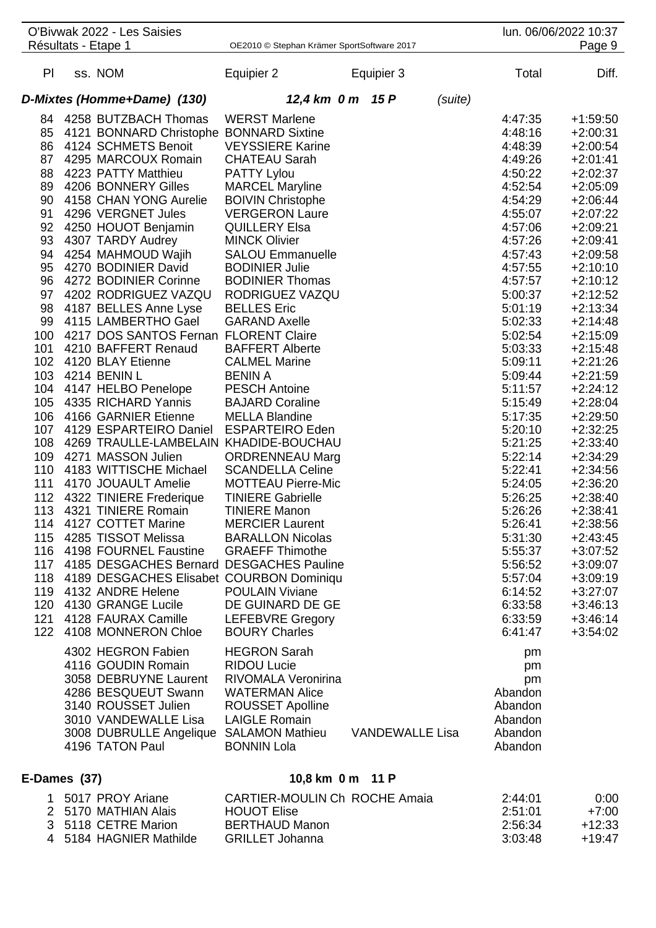|                                                                                                                                                                                                | O'Bivwak 2022 - Les Saisies<br>Résultats - Etape 1                                                                                                                                                                                                                                                                                                                                                                                                                                                                                                                                                                                                                                                                                                                                                                                                                                                                                                                                                                                                                                                                                                                                                                                                   | OE2010 © Stephan Krämer SportSoftware 2017                                                                                                                                                                                                                                                                                                                                                                                                                                                                                                                                                                                                                                                                                                                                                                                                                                                                                                                            |                        |         |                                                                                                                                                                                                                                                                                                                                                                                                                                                                                              | lun. 06/06/2022 10:37<br>Page 9                                                                                                                                                                                                                                                                                                                                                                                                                                                                                                                                |
|------------------------------------------------------------------------------------------------------------------------------------------------------------------------------------------------|------------------------------------------------------------------------------------------------------------------------------------------------------------------------------------------------------------------------------------------------------------------------------------------------------------------------------------------------------------------------------------------------------------------------------------------------------------------------------------------------------------------------------------------------------------------------------------------------------------------------------------------------------------------------------------------------------------------------------------------------------------------------------------------------------------------------------------------------------------------------------------------------------------------------------------------------------------------------------------------------------------------------------------------------------------------------------------------------------------------------------------------------------------------------------------------------------------------------------------------------------|-----------------------------------------------------------------------------------------------------------------------------------------------------------------------------------------------------------------------------------------------------------------------------------------------------------------------------------------------------------------------------------------------------------------------------------------------------------------------------------------------------------------------------------------------------------------------------------------------------------------------------------------------------------------------------------------------------------------------------------------------------------------------------------------------------------------------------------------------------------------------------------------------------------------------------------------------------------------------|------------------------|---------|----------------------------------------------------------------------------------------------------------------------------------------------------------------------------------------------------------------------------------------------------------------------------------------------------------------------------------------------------------------------------------------------------------------------------------------------------------------------------------------------|----------------------------------------------------------------------------------------------------------------------------------------------------------------------------------------------------------------------------------------------------------------------------------------------------------------------------------------------------------------------------------------------------------------------------------------------------------------------------------------------------------------------------------------------------------------|
| PI                                                                                                                                                                                             | ss. NOM                                                                                                                                                                                                                                                                                                                                                                                                                                                                                                                                                                                                                                                                                                                                                                                                                                                                                                                                                                                                                                                                                                                                                                                                                                              | Equipier 2                                                                                                                                                                                                                                                                                                                                                                                                                                                                                                                                                                                                                                                                                                                                                                                                                                                                                                                                                            | Equipier 3             |         | Total                                                                                                                                                                                                                                                                                                                                                                                                                                                                                        | Diff.                                                                                                                                                                                                                                                                                                                                                                                                                                                                                                                                                          |
|                                                                                                                                                                                                | D-Mixtes (Homme+Dame) (130)                                                                                                                                                                                                                                                                                                                                                                                                                                                                                                                                                                                                                                                                                                                                                                                                                                                                                                                                                                                                                                                                                                                                                                                                                          | 12,4 km 0 m 15 P                                                                                                                                                                                                                                                                                                                                                                                                                                                                                                                                                                                                                                                                                                                                                                                                                                                                                                                                                      |                        | (suite) |                                                                                                                                                                                                                                                                                                                                                                                                                                                                                              |                                                                                                                                                                                                                                                                                                                                                                                                                                                                                                                                                                |
| 84<br>85<br>86<br>87<br>88<br>89<br>90<br>91<br>92<br>93<br>94<br>95<br>96<br>97<br>98<br>99<br>100<br>101<br>102<br>103<br>104<br>105<br>106<br>107<br>108<br>109<br>110<br>111<br>112<br>122 | 4258 BUTZBACH Thomas<br>4121 BONNARD Christophe BONNARD Sixtine<br>4124 SCHMETS Benoit<br>4295 MARCOUX Romain<br>4223 PATTY Matthieu<br>4206 BONNERY Gilles<br>4158 CHAN YONG Aurelie<br>4296 VERGNET Jules<br>4250 HOUOT Benjamin<br>4307 TARDY Audrey<br>4254 MAHMOUD Wajih<br>4270 BODINIER David<br>4272 BODINIER Corinne<br>4202 RODRIGUEZ VAZQU<br>4187 BELLES Anne Lyse<br>4115 LAMBERTHO Gael<br>4217 DOS SANTOS Fernan FLORENT Claire<br>4210 BAFFERT Renaud<br>4120 BLAY Etienne<br>4214 BENIN L<br>4147 HELBO Penelope<br>4335 RICHARD Yannis<br>4166 GARNIER Etienne<br>4129 ESPARTEIRO Daniel<br>4269 TRAULLE-LAMBELAIN KHADIDE-BOUCHAU<br>4271 MASSON Julien<br>4183 WITTISCHE Michael<br>4170 JOUAULT Amelie<br>4322 TINIERE Frederique<br>113 4321 TINIERE Romain<br>114 4127 COTTET Marine<br>115 4285 TISSOT Melissa BARALLON Nicolas<br>116 4198 FOURNEL Faustine GRAEFF Thimothe<br>117 4185 DESGACHES Bernard DESGACHES Pauline<br>118 4189 DESGACHES Elisabet COURBON Dominiqu<br>119 4132 ANDRE Helene<br>120 4130 GRANGE Lucile<br>121 4128 FAURAX Camille<br>4108 MONNERON Chloe<br>4302 HEGRON Fabien<br>4116 GOUDIN Romain<br>3058 DEBRUYNE Laurent<br>4286 BESQUEUT Swann<br>3140 ROUSSET Julien<br>3010 VANDEWALLE Lisa | <b>WERST Marlene</b><br><b>VEYSSIERE Karine</b><br><b>CHATEAU Sarah</b><br><b>PATTY Lylou</b><br><b>MARCEL Maryline</b><br><b>BOIVIN Christophe</b><br><b>VERGERON Laure</b><br><b>QUILLERY Elsa</b><br><b>MINCK Olivier</b><br><b>SALOU Emmanuelle</b><br><b>BODINIER Julie</b><br><b>BODINIER Thomas</b><br>RODRIGUEZ VAZQU<br><b>BELLES</b> Eric<br><b>GARAND Axelle</b><br><b>BAFFERT Alberte</b><br><b>CALMEL Marine</b><br><b>BENIN A</b><br><b>PESCH Antoine</b><br><b>BAJARD Coraline</b><br><b>MELLA Blandine</b><br><b>ESPARTEIRO Eden</b><br><b>ORDRENNEAU Marg</b><br><b>SCANDELLA Celine</b><br><b>MOTTEAU Pierre-Mic</b><br><b>TINIERE Gabrielle</b><br><b>TINIERE Manon</b><br><b>MERCIER Laurent</b><br><b>POULAIN Viviane</b><br>DE GUINARD DE GE<br><b>LEFEBVRE Gregory</b><br><b>BOURY Charles</b><br><b>HEGRON Sarah</b><br><b>RIDOU Lucie</b><br>RIVOMALA Veronirina<br><b>WATERMAN Alice</b><br><b>ROUSSET Apolline</b><br><b>LAIGLE Romain</b> |                        |         | 4:47:35<br>4:48:16<br>4:48:39<br>4:49:26<br>4:50:22<br>4:52:54<br>4:54:29<br>4:55:07<br>4:57:06<br>4:57:26<br>4:57:43<br>4:57:55<br>4:57:57<br>5:00:37<br>5:01:19<br>5:02:33<br>5:02:54<br>5:03:33<br>5:09:11<br>5:09:44<br>5:11:57<br>5:15:49<br>5:17:35<br>5:20:10<br>5:21:25<br>5:22:14<br>5:22:41<br>5:24:05<br>5:26:25<br>5:26:26<br>5:26:41<br>5:31:30<br>5:55:37<br>5:56:52<br>5:57:04<br>6:14:52<br>6:33:58<br>6:33:59<br>6:41:47<br>pm<br>pm<br>pm<br>Abandon<br>Abandon<br>Abandon | $+1:59:50$<br>$+2:00:31$<br>$+2:00:54$<br>$+2:01:41$<br>$+2:02:37$<br>$+2:05:09$<br>$+2:06:44$<br>$+2:07:22$<br>$+2:09:21$<br>$+2:09:41$<br>$+2:09:58$<br>$+2:10:10$<br>$+2:10:12$<br>$+2:12:52$<br>$+2:13:34$<br>$+2:14:48$<br>$+2:15:09$<br>$+2:15:48$<br>$+2:21:26$<br>$+2:21:59$<br>$+2:24:12$<br>$+2:28:04$<br>$+2:29:50$<br>$+2:32:25$<br>$+2:33:40$<br>$+2:34:29$<br>$+2:34:56$<br>$+2:36:20$<br>$+2:38:40$<br>$+2:38:41$<br>$+2:38:56$<br>$+2:43:45$<br>$+3:07:52$<br>$+3:09:07$<br>$+3:09:19$<br>$+3:27:07$<br>$+3:46:13$<br>$+3:46:14$<br>$+3:54:02$ |
|                                                                                                                                                                                                | 3008 DUBRULLE Angelique SALAMON Mathieu<br>4196 TATON Paul                                                                                                                                                                                                                                                                                                                                                                                                                                                                                                                                                                                                                                                                                                                                                                                                                                                                                                                                                                                                                                                                                                                                                                                           | <b>BONNIN Lola</b>                                                                                                                                                                                                                                                                                                                                                                                                                                                                                                                                                                                                                                                                                                                                                                                                                                                                                                                                                    | <b>VANDEWALLE Lisa</b> |         | Abandon<br>Abandon                                                                                                                                                                                                                                                                                                                                                                                                                                                                           |                                                                                                                                                                                                                                                                                                                                                                                                                                                                                                                                                                |

# **E-Dames (37) 10,8 km 0 m 11 P**

| 5017 PROY Ariane        | CARTIER-MOULIN Ch ROCHE Amaia | 2:44:01 | 0:00     |
|-------------------------|-------------------------------|---------|----------|
| 2 5170 MATHIAN Alais    | <b>HOUOT Elise</b>            | 2:51:01 | $+7:00$  |
| 3 5118 CETRE Marion     | BERTHAUD Manon                | 2:56:34 | $+12:33$ |
| 4 5184 HAGNIER Mathilde | GRILLET Johanna               | 3:03:48 | $+19.47$ |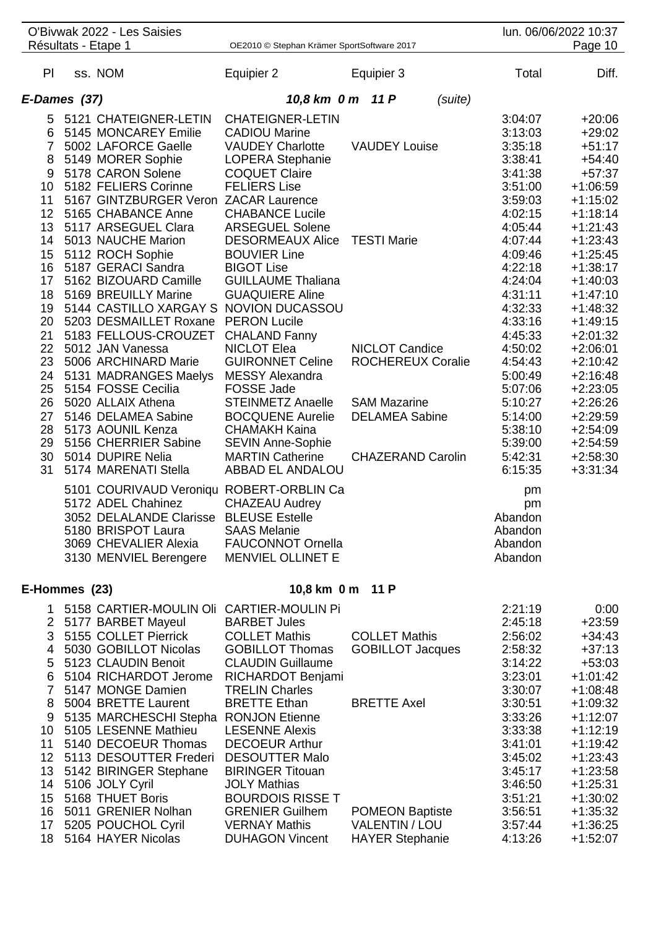|                     | O'Bivwak 2022 - Les Saisies<br>Résultats - Etape 1           | OE2010 © Stephan Krämer SportSoftware 2017        |                          |                    | lun. 06/06/2022 10:37<br>Page 10 |
|---------------------|--------------------------------------------------------------|---------------------------------------------------|--------------------------|--------------------|----------------------------------|
|                     |                                                              |                                                   |                          |                    |                                  |
| PI                  | ss. NOM                                                      | Equipier 2                                        | Equipier 3               | Total              | Diff.                            |
| E-Dames (37)        |                                                              | 10,8 km 0 m 11 P                                  | (suite)                  |                    |                                  |
|                     | 5 5121 CHATEIGNER-LETIN                                      | <b>CHATEIGNER-LETIN</b>                           |                          | 3:04:07            | $+20:06$                         |
| 6                   | 5145 MONCAREY Emilie                                         | <b>CADIOU Marine</b>                              |                          | 3:13:03            | $+29:02$                         |
| $\overline{7}$      | 5002 LAFORCE Gaelle                                          | <b>VAUDEY Charlotte</b>                           | <b>VAUDEY Louise</b>     | 3:35:18            | $+51:17$                         |
| 8                   | 5149 MORER Sophie                                            | LOPERA Stephanie                                  |                          | 3:38:41            | $+54:40$                         |
| 9                   | 5178 CARON Solene                                            | <b>COQUET Claire</b>                              |                          | 3:41:38            | $+57:37$                         |
| 10                  | 5182 FELIERS Corinne                                         | <b>FELIERS Lise</b>                               |                          | 3:51:00            | $+1:06:59$                       |
| 11                  | 5167 GINTZBURGER Veron ZACAR Laurence                        |                                                   |                          | 3:59:03            | $+1:15:02$                       |
| 12                  | 5165 CHABANCE Anne                                           | <b>CHABANCE Lucile</b>                            |                          | 4:02:15            | $+1:18:14$                       |
| 13<br>14            | 5117 ARSEGUEL Clara<br>5013 NAUCHE Marion                    | <b>ARSEGUEL Solene</b><br><b>DESORMEAUX Alice</b> | <b>TESTI Marie</b>       | 4:05:44<br>4:07:44 | $+1:21:43$<br>$+1:23:43$         |
| 15                  | 5112 ROCH Sophie                                             | <b>BOUVIER Line</b>                               |                          | 4:09:46            | $+1:25:45$                       |
| 16                  | 5187 GERACI Sandra                                           | <b>BIGOT Lise</b>                                 |                          | 4:22:18            | $+1:38:17$                       |
| 17                  | 5162 BIZOUARD Camille                                        | <b>GUILLAUME Thaliana</b>                         |                          | 4:24:04            | $+1:40:03$                       |
| 18                  | 5169 BREUILLY Marine                                         | <b>GUAQUIERE Aline</b>                            |                          | 4:31:11            | $+1:47:10$                       |
| 19                  | 5144 CASTILLO XARGAY S NOVION DUCASSOU                       |                                                   |                          | 4:32:33            | $+1:48:32$                       |
| 20                  | 5203 DESMAILLET Roxane PERON Lucile                          |                                                   |                          | 4:33:16            | $+1:49:15$                       |
| 21                  | 5183 FELLOUS-CROUZET                                         | <b>CHALAND Fanny</b>                              |                          | 4:45:33            | $+2:01:32$                       |
| 22                  | 5012 JAN Vanessa                                             | <b>NICLOT Elea</b>                                | <b>NICLOT Candice</b>    | 4:50:02            | $+2:06:01$                       |
| 23                  | 5006 ARCHINARD Marie                                         | <b>GUIRONNET Celine</b>                           | <b>ROCHEREUX Coralie</b> | 4:54:43            | $+2:10:42$                       |
|                     | 24 5131 MADRANGES Maelys                                     | <b>MESSY Alexandra</b>                            |                          | 5:00:49            | $+2:16:48$                       |
| 25<br>26            | 5154 FOSSE Cecilia<br>5020 ALLAIX Athena                     | <b>FOSSE Jade</b><br><b>STEINMETZ Anaelle</b>     | <b>SAM Mazarine</b>      | 5:07:06<br>5:10:27 | $+2:23:05$<br>$+2:26:26$         |
| 27                  | 5146 DELAMEA Sabine                                          | <b>BOCQUENE Aurelie</b>                           | <b>DELAMEA Sabine</b>    | 5:14:00            | $+2:29:59$                       |
| 28                  | 5173 AOUNIL Kenza                                            | <b>CHAMAKH Kaina</b>                              |                          | 5:38:10            | $+2:54:09$                       |
| 29                  | 5156 CHERRIER Sabine                                         | <b>SEVIN Anne-Sophie</b>                          |                          | 5:39:00            | $+2:54:59$                       |
| 30                  | 5014 DUPIRE Nelia                                            | <b>MARTIN Catherine</b>                           | <b>CHAZERAND Carolin</b> | 5:42:31            | $+2:58:30$                       |
| 31                  | 5174 MARENATI Stella                                         | ABBAD EL ANDALOU                                  |                          | 6:15:35            | $+3:31:34$                       |
|                     | 5101 COURIVAUD Veroniqu ROBERT-ORBLIN Ca                     |                                                   |                          | pm                 |                                  |
|                     | 5172 ADEL Chahinez                                           | <b>CHAZEAU Audrey</b>                             |                          | pm                 |                                  |
|                     | 3052 DELALANDE Clarisse BLEUSE Estelle<br>5180 BRISPOT Laura | <b>SAAS Melanie</b>                               |                          | Abandon            |                                  |
|                     | 3069 CHEVALIER Alexia                                        | <b>FAUCONNOT Ornella</b>                          |                          | Abandon<br>Abandon |                                  |
|                     | 3130 MENVIEL Berengere                                       | <b>MENVIEL OLLINET E</b>                          |                          | Abandon            |                                  |
|                     |                                                              |                                                   |                          |                    |                                  |
| E-Hommes (23)       |                                                              | 10,8 km 0 m 11 P                                  |                          |                    |                                  |
| 1.                  | 5158 CARTIER-MOULIN OII CARTIER-MOULIN PI                    |                                                   |                          | 2:21:19            | 0:00                             |
| $\overline{2}$      | 5177 BARBET Mayeul                                           | <b>BARBET Jules</b>                               |                          | 2:45:18            | $+23:59$                         |
| 3                   | 5155 COLLET Pierrick                                         | <b>COLLET Mathis</b>                              | <b>COLLET Mathis</b>     | 2:56:02            | $+34:43$                         |
| 4                   | 5030 GOBILLOT Nicolas                                        | <b>GOBILLOT Thomas</b>                            | <b>GOBILLOT Jacques</b>  | 2:58:32            | $+37:13$                         |
| 5                   | 5123 CLAUDIN Benoit                                          | <b>CLAUDIN Guillaume</b>                          |                          | 3:14:22            | $+53:03$                         |
| 6<br>$\overline{7}$ | 5104 RICHARDOT Jerome                                        | RICHARDOT Benjami                                 |                          | 3:23:01            | $+1:01:42$                       |
| 8                   | 5147 MONGE Damien<br>5004 BRETTE Laurent                     | <b>TRELIN Charles</b><br><b>BRETTE Ethan</b>      | <b>BRETTE Axel</b>       | 3:30:07<br>3:30:51 | $+1:08:48$<br>$+1:09:32$         |
| 9                   | 5135 MARCHESCHI Stepha RONJON Etienne                        |                                                   |                          | 3:33:26            | $+1:12:07$                       |
| 10                  | 5105 LESENNE Mathieu                                         | <b>LESENNE Alexis</b>                             |                          | 3:33:38            | $+1:12:19$                       |
| 11                  | 5140 DECOEUR Thomas                                          | <b>DECOEUR Arthur</b>                             |                          | 3:41:01            | $+1:19:42$                       |
| 12                  | 5113 DESOUTTER Frederi DESOUTTER Malo                        |                                                   |                          | 3:45:02            | $+1:23:43$                       |
| 13                  | 5142 BIRINGER Stephane                                       | <b>BIRINGER Titouan</b>                           |                          | 3:45:17            | $+1:23:58$                       |
| 14                  | 5106 JOLY Cyril                                              | <b>JOLY Mathias</b>                               |                          | 3:46:50            | $+1:25:31$                       |
| 15 <sub>15</sub>    | 5168 THUET Boris                                             | <b>BOURDOIS RISSE T</b>                           |                          | 3:51:21            | $+1:30:02$                       |
|                     | 16 5011 GRENIER Nolhan                                       | <b>GRENIER Guilhem</b>                            | <b>POMEON Baptiste</b>   | 3:56:51            | $+1:35:32$                       |
| 17                  | 5205 POUCHOL Cyril                                           | <b>VERNAY Mathis</b>                              | <b>VALENTIN / LOU</b>    | 3:57:44            | $+1:36:25$                       |
| 18                  | 5164 HAYER Nicolas                                           | <b>DUHAGON Vincent</b>                            | <b>HAYER Stephanie</b>   | 4:13:26            | $+1:52:07$                       |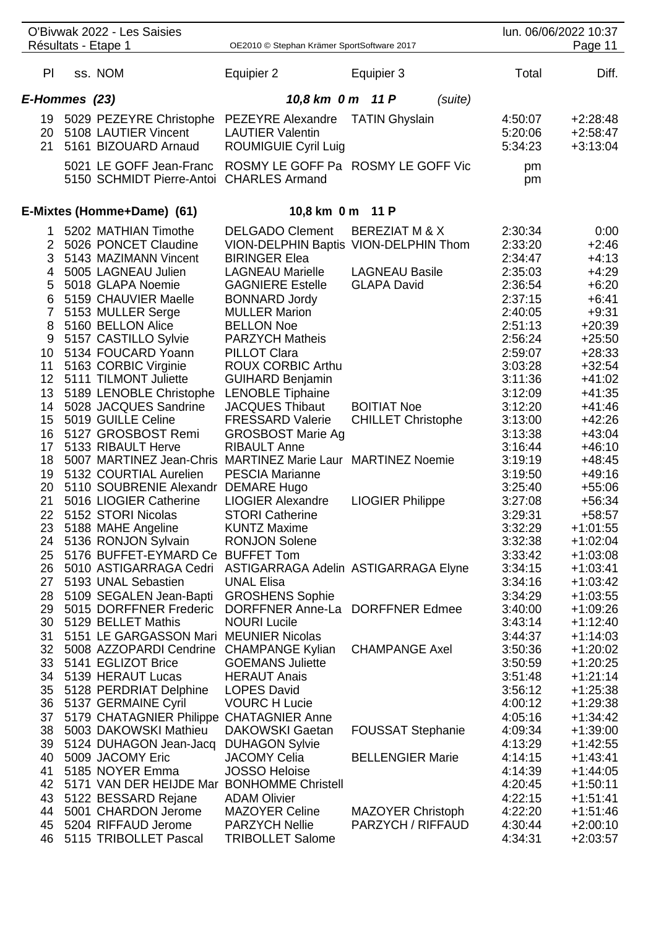|                 | O'Bivwak 2022 - Les Saisies<br>Résultats - Etape 1                                                     | OE2010 © Stephan Krämer SportSoftware 2017             |                                       |                               | lun. 06/06/2022 10:37<br>Page 11       |
|-----------------|--------------------------------------------------------------------------------------------------------|--------------------------------------------------------|---------------------------------------|-------------------------------|----------------------------------------|
|                 |                                                                                                        |                                                        |                                       |                               |                                        |
| PI              | ss. NOM                                                                                                | Equipier 2                                             | Equipier 3                            | Total                         | Diff.                                  |
| E-Hommes (23)   |                                                                                                        | 10,8 km 0 m 11 P                                       | (suite)                               |                               |                                        |
| 21              | 19 5029 PEZEYRE Christophe PEZEYRE Alexandre<br>20 5108 LAUTIER Vincent<br>5161 BIZOUARD Arnaud        | <b>LAUTIER Valentin</b><br><b>ROUMIGUIE Cyril Luig</b> | <b>TATIN Ghyslain</b>                 | 4:50:07<br>5:20:06<br>5:34:23 | $+2:28:48$<br>$+2:58:47$<br>$+3:13:04$ |
|                 | 5021 LE GOFF Jean-Franc ROSMY LE GOFF Pa ROSMY LE GOFF Vic<br>5150 SCHMIDT Pierre-Antoi CHARLES Armand |                                                        |                                       | pm<br>pm                      |                                        |
|                 | E-Mixtes (Homme+Dame) (61)                                                                             | 10,8 km 0 m 11 P                                       |                                       |                               |                                        |
|                 | 1 5202 MATHIAN Timothe                                                                                 | <b>DELGADO Clement</b>                                 | <b>BEREZIAT M &amp; X</b>             | 2:30:34                       | 0:00                                   |
|                 | 2 5026 PONCET Claudine                                                                                 |                                                        | VION-DELPHIN Baptis VION-DELPHIN Thom | 2:33:20                       | $+2:46$                                |
|                 | 3 5143 MAZIMANN Vincent                                                                                | <b>BIRINGER Elea</b>                                   |                                       | 2:34:47                       | $+4:13$                                |
|                 | 4 5005 LAGNEAU Julien                                                                                  | <b>LAGNEAU Marielle</b>                                | <b>LAGNEAU Basile</b>                 | 2:35:03                       | $+4:29$                                |
| 5               | 5018 GLAPA Noemie                                                                                      | <b>GAGNIERE Estelle</b>                                | <b>GLAPA David</b>                    | 2:36:54                       | $+6:20$                                |
| 6               | 5159 CHAUVIER Maelle                                                                                   | <b>BONNARD Jordy</b>                                   |                                       | 2:37:15                       | $+6:41$                                |
|                 | 7 5153 MULLER Serge                                                                                    | <b>MULLER Marion</b>                                   |                                       | 2:40:05                       | $+9:31$                                |
| 8               | 5160 BELLON Alice                                                                                      | <b>BELLON Noe</b>                                      |                                       | 2:51:13                       | $+20:39$                               |
| 9               | 5157 CASTILLO Sylvie                                                                                   | <b>PARZYCH Matheis</b>                                 |                                       | 2:56:24                       | $+25:50$                               |
| 10 <sup>°</sup> | 5134 FOUCARD Yoann                                                                                     | <b>PILLOT Clara</b>                                    |                                       | 2:59:07                       | $+28:33$                               |
| 11              | 5163 CORBIC Virginie                                                                                   | <b>ROUX CORBIC Arthu</b>                               |                                       | 3:03:28                       | $+32:54$                               |
|                 | 12 5111 TILMONT Juliette                                                                               | <b>GUIHARD Benjamin</b>                                |                                       | 3:11:36                       | $+41:02$                               |
| 13              | 5189 LENOBLE Christophe LENOBLE Tiphaine                                                               |                                                        |                                       | 3:12:09                       | $+41:35$                               |
|                 | 14 5028 JACQUES Sandrine                                                                               | <b>JACQUES Thibaut</b>                                 | <b>BOITIAT Noe</b>                    | 3:12:20                       | $+41:46$                               |
| 15              | 5019 GUILLE Celine                                                                                     | <b>FRESSARD Valerie</b>                                | <b>CHILLET Christophe</b>             | 3:13:00                       | $+42:26$                               |
| 16              | 5127 GROSBOST Remi                                                                                     |                                                        |                                       | 3:13:38                       | $+43:04$                               |
| 17              | 5133 RIBAULT Herve                                                                                     | <b>GROSBOST Marie Ag</b><br><b>RIBAULT Anne</b>        |                                       | 3:16:44                       | $+46:10$                               |
| 18              | 5007 MARTINEZ Jean-Chris MARTINEZ Marie Laur MARTINEZ Noemie                                           |                                                        |                                       |                               | $+48:45$                               |
|                 |                                                                                                        |                                                        |                                       | 3:19:19                       |                                        |
| 19              | 5132 COURTIAL Aurelien                                                                                 | <b>PESCIA Marianne</b>                                 |                                       | 3:19:50                       | $+49:16$                               |
| 20              | 5110 SOUBRENIE Alexandr DEMARE Hugo                                                                    |                                                        |                                       | 3:25:40                       | $+55:06$                               |
| 21              | 5016 LIOGIER Catherine                                                                                 | <b>LIOGIER Alexandre</b>                               | <b>LIOGIER Philippe</b>               | 3:27:08                       | $+56:34$                               |
| 22              | 5152 STORI Nicolas                                                                                     | <b>STORI Catherine</b>                                 |                                       | 3:29:31                       | $+58:57$                               |
| 23              | 5188 MAHE Angeline                                                                                     | <b>KUNTZ Maxime</b>                                    |                                       | 3:32:29                       | $+1:01:55$                             |
| 24              | 5136 RONJON Sylvain                                                                                    | <b>RONJON Solene</b>                                   |                                       | 3:32:38                       | $+1:02:04$                             |
| 25              | 5176 BUFFET-EYMARD Ce BUFFET Tom                                                                       |                                                        |                                       | 3:33:42                       | $+1:03:08$                             |
| 26              | 5010 ASTIGARRAGA Cedri                                                                                 | ASTIGARRAGA Adelin ASTIGARRAGA Elyne                   |                                       | 3:34:15                       | $+1:03:41$                             |
| 27              | 5193 UNAL Sebastien                                                                                    | <b>UNAL Elisa</b>                                      |                                       | 3:34:16                       | $+1:03:42$                             |
| 28              | 5109 SEGALEN Jean-Bapti                                                                                | <b>GROSHENS Sophie</b>                                 |                                       | 3:34:29                       | $+1:03:55$                             |
|                 | 29 5015 DORFFNER Frederic                                                                              | DORFFNER Anne-La DORFFNER Edmee                        |                                       | 3:40:00                       | $+1:09:26$                             |
|                 | 30 5129 BELLET Mathis                                                                                  | <b>NOURI Lucile</b>                                    |                                       | 3:43:14                       | $+1:12:40$                             |
| 31              | 5151 LE GARGASSON Mari MEUNIER Nicolas                                                                 |                                                        |                                       | 3:44:37                       | $+1:14:03$                             |
|                 | 32 5008 AZZOPARDI Cendrine CHAMPANGE Kylian                                                            |                                                        | <b>CHAMPANGE Axel</b>                 | 3:50:36                       | $+1:20:02$                             |
|                 | 33 5141 EGLIZOT Brice                                                                                  | <b>GOEMANS Juliette</b>                                |                                       | 3:50:59                       | $+1:20:25$                             |
|                 | 34 5139 HERAUT Lucas                                                                                   | <b>HERAUT Anais</b>                                    |                                       | 3:51:48                       | $+1:21:14$                             |
|                 | 35 5128 PERDRIAT Delphine                                                                              | <b>LOPES David</b>                                     |                                       | 3:56:12                       | $+1:25:38$                             |
| 36              | 5137 GERMAINE Cyril                                                                                    | <b>VOURC H Lucie</b>                                   |                                       | 4:00:12                       | $+1:29:38$                             |
| 37              | 5179 CHATAGNIER Philippe CHATAGNIER Anne                                                               |                                                        |                                       | 4:05:16                       | $+1:34:42$                             |
| 38              | 5003 DAKOWSKI Mathieu                                                                                  | <b>DAKOWSKI</b> Gaetan                                 | <b>FOUSSAT Stephanie</b>              | 4:09:34                       | $+1:39:00$                             |
|                 | 39 5124 DUHAGON Jean-Jacq DUHAGON Sylvie                                                               |                                                        |                                       | 4:13:29                       | $+1:42:55$                             |
| 40              | 5009 JACOMY Eric                                                                                       | <b>JACOMY Celia</b>                                    | <b>BELLENGIER Marie</b>               | 4:14:15                       | $+1:43:41$                             |
| 41              | 5185 NOYER Emma                                                                                        | <b>JOSSO Heloise</b>                                   |                                       | 4:14:39                       | $+1:44:05$                             |
| 42              | 5171 VAN DER HEIJDE Mar BONHOMME Christell                                                             |                                                        |                                       | 4:20:45                       | $+1:50:11$                             |
| 43              | 5122 BESSARD Rejane                                                                                    | <b>ADAM Olivier</b>                                    |                                       | 4:22:15                       | $+1:51:41$                             |
| 44              | 5001 CHARDON Jerome                                                                                    | <b>MAZOYER Celine</b>                                  | <b>MAZOYER Christoph</b>              | 4:22:20                       | $+1:51:46$                             |
| 45              | 5204 RIFFAUD Jerome                                                                                    | <b>PARZYCH Nellie</b>                                  | PARZYCH / RIFFAUD                     | 4:30:44                       | $+2:00:10$                             |
| 46              | 5115 TRIBOLLET Pascal                                                                                  | <b>TRIBOLLET Salome</b>                                |                                       | 4:34:31                       | $+2:03:57$                             |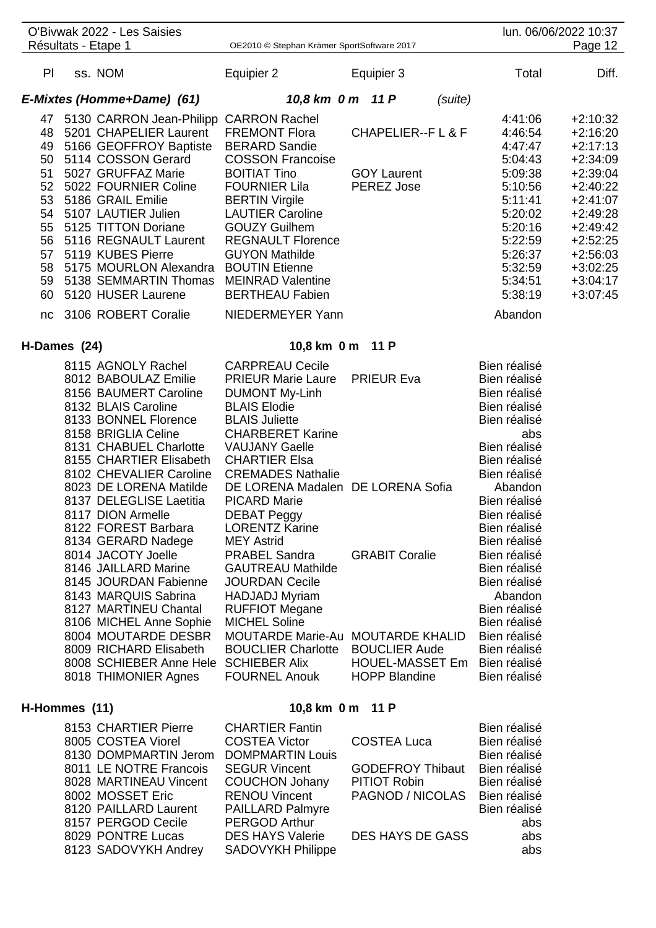|              | O'Bivwak 2022 - Les Saisies                     |                                              |                                                |         |                              | lun. 06/06/2022 10:37 |
|--------------|-------------------------------------------------|----------------------------------------------|------------------------------------------------|---------|------------------------------|-----------------------|
|              | Résultats - Etape 1                             | OE2010 © Stephan Krämer SportSoftware 2017   |                                                |         |                              | Page 12               |
| PI           | ss. NOM                                         | Equipier 2                                   | Equipier 3                                     |         | Total                        | Diff.                 |
|              | E-Mixtes (Homme+Dame) (61)                      | 10,8 km 0 m 11 P                             |                                                | (suite) |                              |                       |
|              | 47 5130 CARRON Jean-Philipp CARRON Rachel       |                                              |                                                |         | 4:41:06                      | $+2:10:32$            |
| 48           | 5201 CHAPELIER Laurent                          | <b>FREMONT Flora</b>                         | <b>CHAPELIER--FL&amp;F</b>                     |         | 4:46:54                      | $+2:16:20$            |
| 49           | 5166 GEOFFROY Baptiste                          | <b>BERARD Sandie</b>                         |                                                |         | 4:47:47                      | $+2:17:13$            |
| 50           | 5114 COSSON Gerard                              | <b>COSSON Francoise</b>                      |                                                |         | 5:04:43                      | $+2:34:09$            |
| 51           | 5027 GRUFFAZ Marie                              | <b>BOITIAT Tino</b>                          | <b>GOY Laurent</b>                             |         | 5:09:38                      | $+2:39:04$            |
| 52           | 5022 FOURNIER Coline                            | <b>FOURNIER Lila</b>                         | PEREZ Jose                                     |         | 5:10:56                      | $+2:40:22$            |
| 53           | 5186 GRAIL Emilie                               | <b>BERTIN Virgile</b>                        |                                                |         | 5:11:41                      | $+2:41:07$            |
| 54           | 5107 LAUTIER Julien                             | <b>LAUTIER Caroline</b>                      |                                                |         | 5:20:02                      | $+2:49:28$            |
| 55           | 5125 TITTON Doriane                             | <b>GOUZY Guilhem</b>                         |                                                |         | 5:20:16                      | $+2:49:42$            |
| 56           | 5116 REGNAULT Laurent                           | <b>REGNAULT Florence</b>                     |                                                |         | 5:22:59                      | $+2:52:25$            |
| 57           | 5119 KUBES Pierre                               | <b>GUYON Mathilde</b>                        |                                                |         | 5:26:37                      | $+2:56:03$            |
|              | 58 5175 MOURLON Alexandra                       | <b>BOUTIN Etienne</b>                        |                                                |         | 5:32:59                      | $+3:02:25$            |
|              | 59 5138 SEMMARTIN Thomas                        | <b>MEINRAD Valentine</b>                     |                                                |         | 5:34:51                      | $+3:04:17$            |
|              | 60 5120 HUSER Laurene                           | <b>BERTHEAU Fabien</b>                       |                                                |         | 5:38:19                      | $+3:07:45$            |
|              | nc 3106 ROBERT Coralie                          | NIEDERMEYER Yann                             |                                                |         | Abandon                      |                       |
| H-Dames (24) |                                                 | 10,8 km 0 m 11 P                             |                                                |         |                              |                       |
|              | 8115 AGNOLY Rachel                              | <b>CARPREAU Cecile</b>                       |                                                |         | Bien réalisé                 |                       |
|              | 8012 BABOULAZ Emilie                            | <b>PRIEUR Marie Laure</b>                    | <b>PRIEUR Eva</b>                              |         | Bien réalisé                 |                       |
|              | 8156 BAUMERT Caroline                           | <b>DUMONT My-Linh</b>                        |                                                |         | Bien réalisé                 |                       |
|              | 8132 BLAIS Caroline                             | <b>BLAIS Elodie</b>                          |                                                |         | Bien réalisé                 |                       |
|              | 8133 BONNEL Florence                            | <b>BLAIS Juliette</b>                        |                                                |         | Bien réalisé                 |                       |
|              | 8158 BRIGLIA Celine                             | <b>CHARBERET Karine</b>                      |                                                |         | abs                          |                       |
|              | 8131 CHABUEL Charlotte                          | <b>VAUJANY Gaelle</b>                        |                                                |         | Bien réalisé                 |                       |
|              | 8155 CHARTIER Elisabeth                         | <b>CHARTIER Elsa</b>                         |                                                |         | Bien réalisé                 |                       |
|              | 8102 CHEVALIER Caroline                         | <b>CREMADES Nathalie</b>                     |                                                |         | Bien réalisé                 |                       |
|              | 8023 DE LORENA Matilde                          | DE LORENA Madalen DE LORENA Sofia            |                                                |         | Abandon                      |                       |
|              | 8137 DELEGLISE Laetitia                         | <b>PICARD Marie</b>                          |                                                |         | Bien réalisé                 |                       |
|              | 8117 DION Armelle                               | <b>DEBAT Peggy</b>                           |                                                |         | Bien réalisé                 |                       |
|              | 8122 FOREST Barbara                             | <b>LORENTZ Karine</b>                        |                                                |         | Bien réalisé                 |                       |
|              | 8134 GERARD Nadege                              | <b>MEY Astrid</b>                            |                                                |         | Bien réalisé                 |                       |
|              | 8014 JACOTY Joelle                              | <b>PRABEL Sandra</b>                         | <b>GRABIT Coralie</b>                          |         | Bien réalisé                 |                       |
|              | 8146 JAILLARD Marine                            | <b>GAUTREAU Mathilde</b>                     |                                                |         | Bien réalisé                 |                       |
|              | 8145 JOURDAN Fabienne                           | <b>JOURDAN Cecile</b>                        |                                                |         | Bien réalisé                 |                       |
|              | 8143 MARQUIS Sabrina                            | <b>HADJADJ Myriam</b>                        |                                                |         | Abandon                      |                       |
|              | 8127 MARTINEU Chantal                           | <b>RUFFIOT Megane</b>                        |                                                |         | Bien réalisé                 |                       |
|              | 8106 MICHEL Anne Sophie                         | <b>MICHEL Soline</b>                         |                                                |         | Bien réalisé                 |                       |
|              | 8004 MOUTARDE DESBR                             | MOUTARDE Marie-Au MOUTARDE KHALID            |                                                |         | Bien réalisé                 |                       |
|              | 8009 RICHARD Elisabeth                          | <b>BOUCLIER Charlotte</b>                    | <b>BOUCLIER Aude</b>                           |         | Bien réalisé                 |                       |
|              | 8008 SCHIEBER Anne Hele<br>8018 THIMONIER Agnes | <b>SCHIEBER Alix</b><br><b>FOURNEL Anouk</b> | <b>HOUEL-MASSET Em</b><br><b>HOPP Blandine</b> |         | Bien réalisé<br>Bien réalisé |                       |
|              |                                                 |                                              |                                                |         |                              |                       |
|              |                                                 |                                              |                                                |         |                              |                       |

### 8153 CHARTIER Pierre CHARTIER Fantin<br>8005 COSTEA Viorel COSTEA Victor COSTEA Luca Bien réalisé 8005 COSTEA Viorel COSTEA Victor COSTEA Luca Bien réalisé<br>8130 DOMPMARTIN Jerom DOMPMARTIN Louis Bien réalisé 8130 DOMPMARTIN Jerom DOMPMARTIN Louis<br>8011 LE NOTRE Francois SEGUR Vincent GODEFROY Thibaut Bien réalisé 8011 LE NOTRE Francois SEGUR Vincent GODEFROY Thibaut Bien réalisé<br>8028 MARTINEAU Vincent COUCHON Johany PITIOT Robin Bien réalisé 8028 MARTINEAU Vincent 8002 MOSSET Eric RENOU Vincent PAGNOD / NICOLAS Bien réalisé<br>8120 PAILLARD Laurent PAILLARD Palmyre Bien réalisé 8120 PAILLARD Laurent 8157 PERGOD Cecile PERGOD Arthur abs 8029 PONTRE Lucas DES HAYS Valerie DES HAYS DE GASS abs<br>8123 SADOVYKH Andrey SADOVYKH Philippe 8123 SADOVYKH Andrey

## **H-Hommes (11) 10,8 km 0 m 11 P**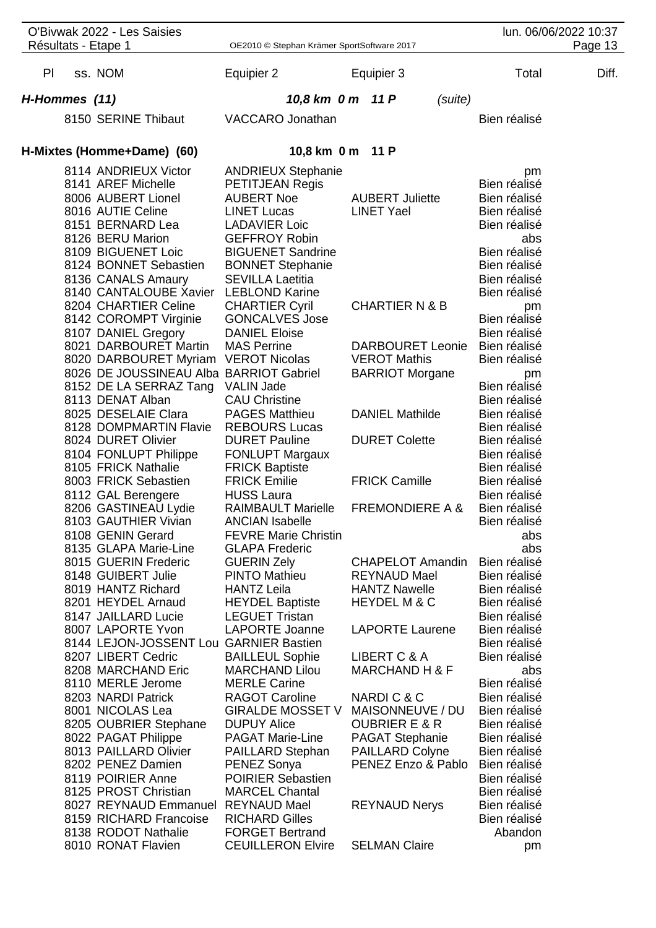| O'Bivwak 2022 - Les Saisies                                                                                                                                                                                                                 | lun. 06/06/2022 10:37                                                                                                                                                                                                     |                                                                                                                                    |                                                                                                                                           |       |
|---------------------------------------------------------------------------------------------------------------------------------------------------------------------------------------------------------------------------------------------|---------------------------------------------------------------------------------------------------------------------------------------------------------------------------------------------------------------------------|------------------------------------------------------------------------------------------------------------------------------------|-------------------------------------------------------------------------------------------------------------------------------------------|-------|
| Résultats - Etape 1                                                                                                                                                                                                                         | OE2010 © Stephan Krämer SportSoftware 2017                                                                                                                                                                                | Page 13                                                                                                                            |                                                                                                                                           |       |
| PI<br>ss. NOM                                                                                                                                                                                                                               | Equipier 2                                                                                                                                                                                                                | Equipier 3                                                                                                                         | Total                                                                                                                                     | Diff. |
| H-Hommes (11)                                                                                                                                                                                                                               | 10,8 km 0 m 11 P                                                                                                                                                                                                          | (suite)                                                                                                                            |                                                                                                                                           |       |
| 8150 SERINE Thibaut                                                                                                                                                                                                                         | VACCARO Jonathan                                                                                                                                                                                                          |                                                                                                                                    | Bien réalisé                                                                                                                              |       |
| H-Mixtes (Homme+Dame) (60)                                                                                                                                                                                                                  | 10,8 km 0 m 11 P                                                                                                                                                                                                          |                                                                                                                                    |                                                                                                                                           |       |
| 8114 ANDRIEUX Victor<br>8141 AREF Michelle<br>8006 AUBERT Lionel<br>8016 AUTIE Celine<br>8151 BERNARD Lea<br>8126 BERU Marion<br>8109 BIGUENET Loic<br>8124 BONNET Sebastien<br>8136 CANALS Amaury<br>8140 CANTALOUBE Xavier LEBLOND Karine | <b>ANDRIEUX Stephanie</b><br>PETITJEAN Regis<br><b>AUBERT Noe</b><br><b>LINET Lucas</b><br><b>LADAVIER Loic</b><br><b>GEFFROY Robin</b><br><b>BIGUENET Sandrine</b><br><b>BONNET Stephanie</b><br><b>SEVILLA Laetitia</b> | <b>AUBERT Juliette</b><br><b>LINET Yael</b>                                                                                        | pm<br>Bien réalisé<br>Bien réalisé<br>Bien réalisé<br>Bien réalisé<br>abs<br>Bien réalisé<br>Bien réalisé<br>Bien réalisé<br>Bien réalisé |       |
| 8204 CHARTIER Celine<br>8142 COROMPT Virginie<br>8107 DANIEL Gregory<br>8021 DARBOURET Martin                                                                                                                                               | <b>CHARTIER Cyril</b><br><b>GONCALVES Jose</b><br><b>DANIEL Eloise</b>                                                                                                                                                    | <b>CHARTIER N &amp; B</b>                                                                                                          | pm<br>Bien réalisé<br>Bien réalisé                                                                                                        |       |
| 8020 DARBOURET Myriam VEROT Nicolas<br>8026 DE JOUSSINEAU Alba BARRIOT Gabriel<br>8152 DE LA SERRAZ Tang<br>8113 DENAT Alban                                                                                                                | <b>MAS Perrine</b><br><b>VALIN Jade</b><br><b>CAU Christine</b>                                                                                                                                                           | <b>DARBOURET Leonie</b><br><b>VEROT Mathis</b><br><b>BARRIOT Morgane</b>                                                           | Bien réalisé<br>Bien réalisé<br>pm<br>Bien réalisé<br>Bien réalisé                                                                        |       |
| 8025 DESELAIE Clara<br>8128 DOMPMARTIN Flavie                                                                                                                                                                                               | <b>PAGES Matthieu</b><br><b>REBOURS Lucas</b>                                                                                                                                                                             | <b>DANIEL Mathilde</b>                                                                                                             | Bien réalisé<br>Bien réalisé                                                                                                              |       |
| 8024 DURET Olivier<br>8104 FONLUPT Philippe<br>8105 FRICK Nathalie                                                                                                                                                                          | <b>DURET Pauline</b><br><b>FONLUPT Margaux</b><br><b>FRICK Baptiste</b>                                                                                                                                                   | <b>DURET Colette</b>                                                                                                               | Bien réalisé<br>Bien réalisé<br>Bien réalisé                                                                                              |       |
| 8003 FRICK Sebastien<br>8112 GAL Berengere                                                                                                                                                                                                  | <b>FRICK Emilie</b><br><b>HUSS Laura</b>                                                                                                                                                                                  | <b>FRICK Camille</b>                                                                                                               | Bien réalisé<br>Bien réalisé                                                                                                              |       |
| 8206 GASTINEAU Lydie<br>8103 GAUTHIER Vivian<br>8108 GENIN Gerard<br>8135 GLAPA Marie-Line                                                                                                                                                  | <b>RAIMBAULT Marielle</b><br><b>ANCIAN Isabelle</b><br><b>FEVRE Marie Christin</b><br><b>GLAPA Frederic</b>                                                                                                               | <b>FREMONDIERE A &amp;</b>                                                                                                         | Bien réalisé<br>Bien réalisé<br>abs<br>abs                                                                                                |       |
| 8015 GUERIN Frederic<br>8148 GUIBERT Julie<br>8019 HANTZ Richard<br>8201 HEYDEL Arnaud<br>8147 JAILLARD Lucie                                                                                                                               | <b>GUERIN Zely</b><br><b>PINTO Mathieu</b><br><b>HANTZ Leila</b><br><b>HEYDEL Baptiste</b><br><b>LEGUET Tristan</b>                                                                                                       | <b>CHAPELOT Amandin</b><br><b>REYNAUD Mael</b><br><b>HANTZ Nawelle</b><br><b>HEYDEL M &amp; C</b>                                  | Bien réalisé<br>Bien réalisé<br>Bien réalisé<br>Bien réalisé<br>Bien réalisé                                                              |       |
| 8007 LAPORTE Yvon<br>8144 LEJON-JOSSENT Lou GARNIER Bastien<br>8207 LIBERT Cedric                                                                                                                                                           | <b>LAPORTE Joanne</b><br><b>BAILLEUL Sophie</b>                                                                                                                                                                           | <b>LAPORTE Laurene</b><br>LIBERT C & A                                                                                             | Bien réalisé<br>Bien réalisé<br>Bien réalisé                                                                                              |       |
| 8208 MARCHAND Eric<br>8110 MERLE Jerome                                                                                                                                                                                                     | <b>MARCHAND Lilou</b><br><b>MERLE Carine</b>                                                                                                                                                                              | <b>MARCHAND H &amp; F</b>                                                                                                          | abs<br>Bien réalisé                                                                                                                       |       |
| 8203 NARDI Patrick<br>8001 NICOLAS Lea<br>8205 OUBRIER Stephane<br>8022 PAGAT Philippe<br>8013 PAILLARD Olivier<br>8202 PENEZ Damien<br>8119 POIRIER Anne<br>8125 PROST Christian                                                           | <b>RAGOT Caroline</b><br><b>GIRALDE MOSSET V</b><br><b>DUPUY Alice</b><br><b>PAGAT Marie-Line</b><br>PAILLARD Stephan<br>PENEZ Sonya<br><b>POIRIER Sebastien</b><br><b>MARCEL Chantal</b>                                 | NARDIC&C<br>MAISONNEUVE / DU<br><b>OUBRIER E &amp; R</b><br><b>PAGAT Stephanie</b><br><b>PAILLARD Colyne</b><br>PENEZ Enzo & Pablo | Bien réalisé<br>Bien réalisé<br>Bien réalisé<br>Bien réalisé<br>Bien réalisé<br>Bien réalisé<br>Bien réalisé<br>Bien réalisé              |       |
| 8027 REYNAUD Emmanuel REYNAUD Mael<br>8159 RICHARD Francoise<br>8138 RODOT Nathalie<br>8010 RONAT Flavien                                                                                                                                   | <b>RICHARD Gilles</b><br><b>FORGET Bertrand</b><br><b>CEUILLERON Elvire</b>                                                                                                                                               | <b>REYNAUD Nerys</b><br><b>SELMAN Claire</b>                                                                                       | Bien réalisé<br>Bien réalisé<br>Abandon<br>pm                                                                                             |       |
|                                                                                                                                                                                                                                             |                                                                                                                                                                                                                           |                                                                                                                                    |                                                                                                                                           |       |